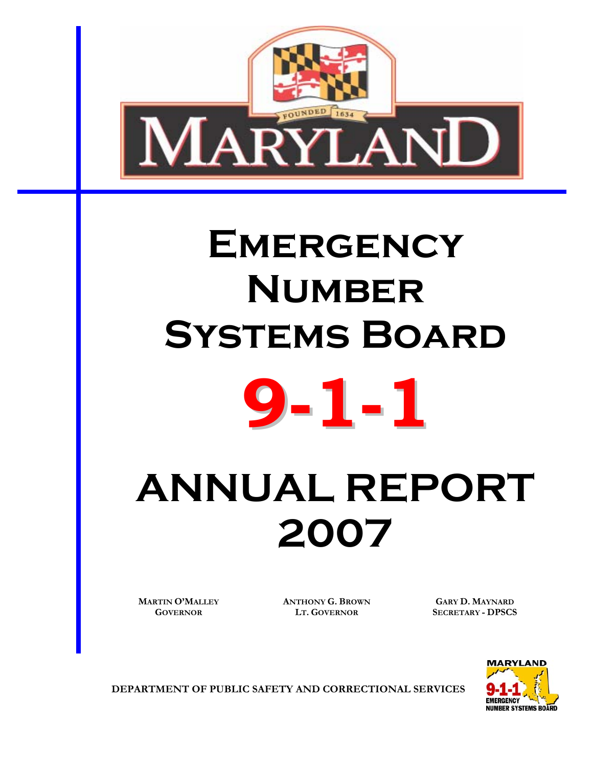

# **EMERGENCY Number Systems Board**



# **ANNUAL REPORT 2007**

**MARTIN O'MALLEY GOVERNOR**

**ANTHONY G. BROWN LT. GOVERNOR**

**GARY D. MAYNARD SECRETARY - DPSCS** 



**DEPARTMENT OF PUBLIC SAFETY AND CORRECTIONAL SERVICES**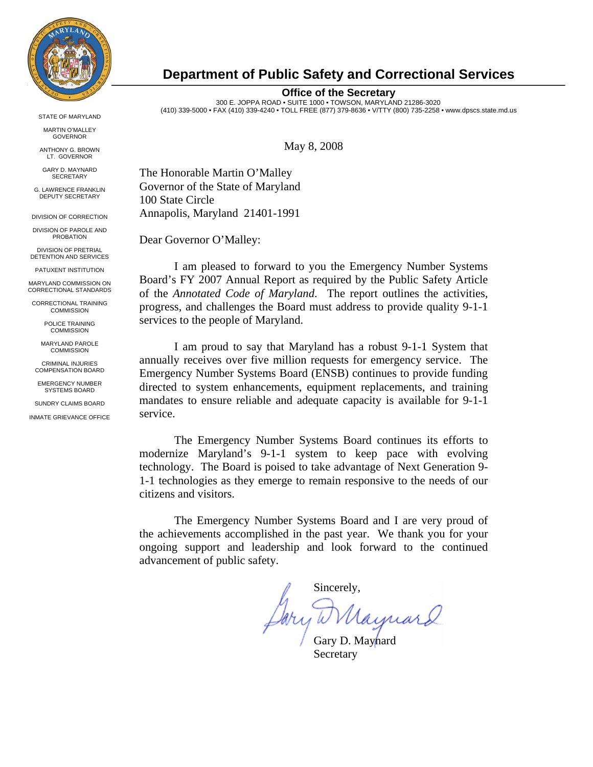

MARTIN O'MALLEY GOVERNOR

ANTHONY G. BROWN LT. GOVERNOR

GARY D. MAYNARD **SECRETARY** 

G. LAWRENCE FRANKLIN DEPUTY SECRETARY

DIVISION OF CORRECTION

DIVISION OF PAROLE AND **PROBATION** 

DIVISION OF PRETRIAL DETENTION AND SERVICES

PATUXENT INSTITUTION

MARYLAND COMMISSION ON CORRECTIONAL STANDARDS

CORRECTIONAL TRAINING COMMISSION

> POLICE TRAINING **COMMISSION**

MARYLAND PAROLE **COMMISSION** 

CRIMINAL INJURIES COMPENSATION BOARD

EMERGENCY NUMBER SYSTEMS BOARD

SUNDRY CLAIMS BOARD

INMATE GRIEVANCE OFFICE

# **Department of Public Safety and Correctional Services**

**Office of the Secretary** 

300 E. JOPPA ROAD • SUITE 1000 • TOWSON, MARYLAND 21286-3020 (410) 339-5000 • FAX (410) 339-4240 • TOLL FREE (877) 379-8636 • V/TTY (800) 735-2258 • www.dpscs.state.md.us STATE OF MARYLAND

May 8, 2008

The Honorable Martin O'Malley Governor of the State of Maryland 100 State Circle Annapolis, Maryland 21401-1991

Dear Governor O'Malley:

I am pleased to forward to you the Emergency Number Systems Board's FY 2007 Annual Report as required by the Public Safety Article of the *Annotated Code of Maryland*. The report outlines the activities, progress, and challenges the Board must address to provide quality 9-1-1 services to the people of Maryland.

I am proud to say that Maryland has a robust 9-1-1 System that annually receives over five million requests for emergency service. The Emergency Number Systems Board (ENSB) continues to provide funding directed to system enhancements, equipment replacements, and training mandates to ensure reliable and adequate capacity is available for 9-1-1 service.

The Emergency Number Systems Board continues its efforts to modernize Maryland's 9-1-1 system to keep pace with evolving technology. The Board is poised to take advantage of Next Generation 9- 1-1 technologies as they emerge to remain responsive to the needs of our citizens and visitors.

The Emergency Number Systems Board and I are very proud of the achievements accomplished in the past year. We thank you for your ongoing support and leadership and look forward to the continued advancement of public safety.

Sincerely,

ry W Maynard

Secretary Secretary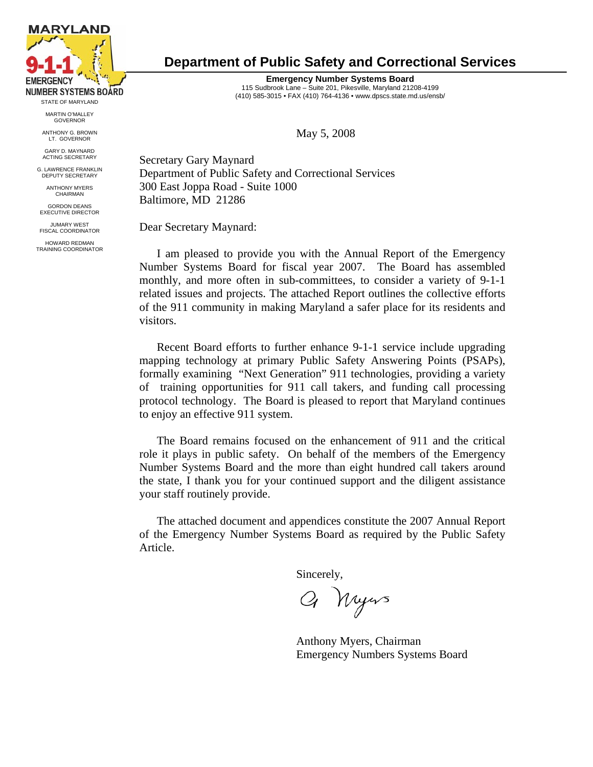

MARTIN O'MALLEY GOVERNOR

ANTHONY G. BROWN LT. GOVERNOR

GARY D. MAYNARD ACTING SECRETARY

G. LAWRENCE FRANKLIN DEPUTY SECRETARY

> ANTHONY MYERS CHAIRMAN

GORDON DEANS EXECUTIVE DIRECTOR

JUMARY WEST FISCAL COORDINATOR

HOWARD REDMAN TRAINING COORDINATOR

# **Department of Public Safety and Correctional Services**

**Emergency Number Systems Board** 115 Sudbrook Lane – Suite 201, Pikesville, Maryland 21208-4199 (410) 585-3015 • FAX (410) 764-4136 • www.dpscs.state.md.us/ensb/

May 5, 2008

Secretary Gary Maynard Department of Public Safety and Correctional Services 300 East Joppa Road - Suite 1000 Baltimore, MD 21286

Dear Secretary Maynard:

I am pleased to provide you with the Annual Report of the Emergency Number Systems Board for fiscal year 2007. The Board has assembled monthly, and more often in sub-committees, to consider a variety of 9-1-1 related issues and projects. The attached Report outlines the collective efforts of the 911 community in making Maryland a safer place for its residents and visitors.

Recent Board efforts to further enhance 9-1-1 service include upgrading mapping technology at primary Public Safety Answering Points (PSAPs), formally examining "Next Generation" 911 technologies, providing a variety of training opportunities for 911 call takers, and funding call processing protocol technology. The Board is pleased to report that Maryland continues to enjoy an effective 911 system.

The Board remains focused on the enhancement of 911 and the critical role it plays in public safety. On behalf of the members of the Emergency Number Systems Board and the more than eight hundred call takers around the state, I thank you for your continued support and the diligent assistance your staff routinely provide.

The attached document and appendices constitute the 2007 Annual Report of the Emergency Number Systems Board as required by the Public Safety Article.

Sincerely,

Q Nyers

Anthony Myers, Chairman Emergency Numbers Systems Board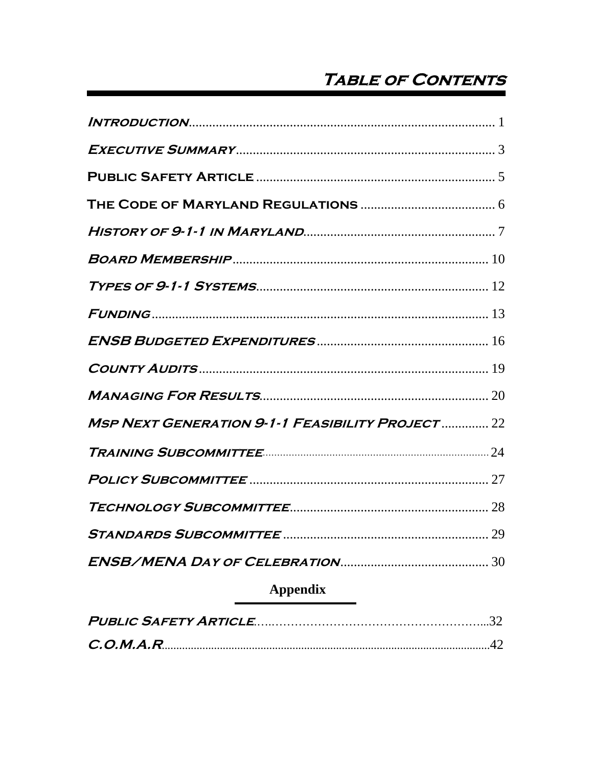# **TABLE OF CONTENTS**

| <b>MSP NEXT GENERATION 9-1-1 FEASIBILITY PROJECT  22</b> |
|----------------------------------------------------------|
|                                                          |
|                                                          |
|                                                          |
|                                                          |
|                                                          |
| <b>Appendix</b>                                          |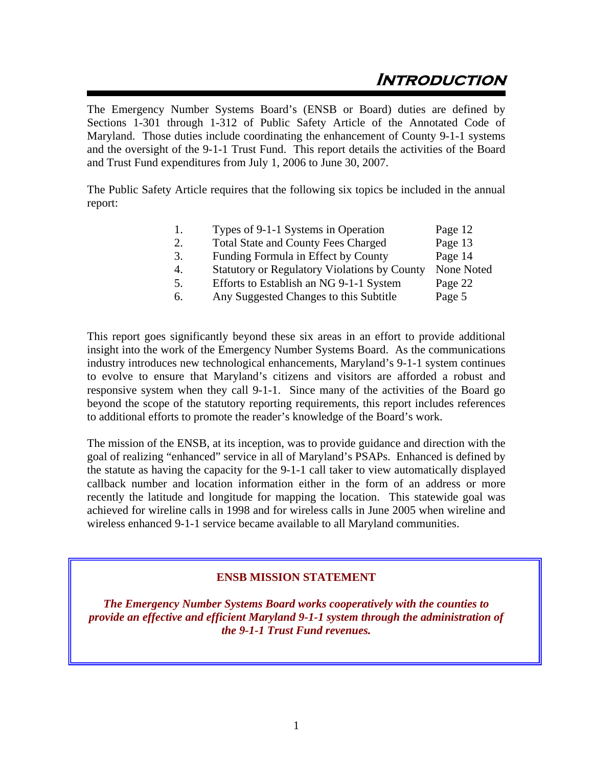# **Introduction**

The Emergency Number Systems Board's (ENSB or Board) duties are defined by Sections 1-301 through 1-312 of Public Safety Article of the Annotated Code of Maryland. Those duties include coordinating the enhancement of County 9-1-1 systems and the oversight of the 9-1-1 Trust Fund. This report details the activities of the Board and Trust Fund expenditures from July 1, 2006 to June 30, 2007.

The Public Safety Article requires that the following six topics be included in the annual report:

| 1. | Types of 9-1-1 Systems in Operation                 | Page 12    |
|----|-----------------------------------------------------|------------|
| 2. | <b>Total State and County Fees Charged</b>          | Page 13    |
| 3. | Funding Formula in Effect by County                 | Page 14    |
| 4. | <b>Statutory or Regulatory Violations by County</b> | None Noted |
| 5. | Efforts to Establish an NG 9-1-1 System             | Page 22    |
| 6. | Any Suggested Changes to this Subtitle              | Page 5     |

This report goes significantly beyond these six areas in an effort to provide additional insight into the work of the Emergency Number Systems Board. As the communications industry introduces new technological enhancements, Maryland's 9-1-1 system continues to evolve to ensure that Maryland's citizens and visitors are afforded a robust and responsive system when they call 9-1-1. Since many of the activities of the Board go beyond the scope of the statutory reporting requirements, this report includes references to additional efforts to promote the reader's knowledge of the Board's work.

The mission of the ENSB, at its inception, was to provide guidance and direction with the goal of realizing "enhanced" service in all of Maryland's PSAPs. Enhanced is defined by the statute as having the capacity for the 9-1-1 call taker to view automatically displayed callback number and location information either in the form of an address or more recently the latitude and longitude for mapping the location. This statewide goal was achieved for wireline calls in 1998 and for wireless calls in June 2005 when wireline and wireless enhanced 9-1-1 service became available to all Maryland communities.

# **ENSB MISSION STATEMENT**

*The Emergency Number Systems Board works cooperatively with the counties to provide an effective and efficient Maryland 9-1-1 system through the administration of the 9-1-1 Trust Fund revenues.*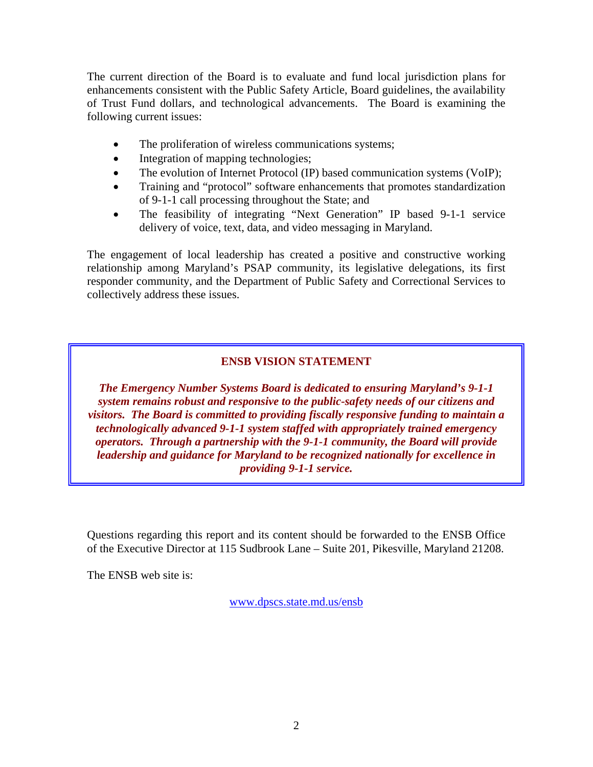The current direction of the Board is to evaluate and fund local jurisdiction plans for enhancements consistent with the Public Safety Article, Board guidelines, the availability of Trust Fund dollars, and technological advancements. The Board is examining the following current issues:

- The proliferation of wireless communications systems;
- Integration of mapping technologies;
- The evolution of Internet Protocol (IP) based communication systems (VoIP);
- Training and "protocol" software enhancements that promotes standardization of 9-1-1 call processing throughout the State; and
- The feasibility of integrating "Next Generation" IP based 9-1-1 service delivery of voice, text, data, and video messaging in Maryland.

The engagement of local leadership has created a positive and constructive working relationship among Maryland's PSAP community, its legislative delegations, its first responder community, and the Department of Public Safety and Correctional Services to collectively address these issues.

# **ENSB VISION STATEMENT**

*The Emergency Number Systems Board is dedicated to ensuring Maryland's 9-1-1 system remains robust and responsive to the public-safety needs of our citizens and visitors. The Board is committed to providing fiscally responsive funding to maintain a technologically advanced 9-1-1 system staffed with appropriately trained emergency operators. Through a partnership with the 9-1-1 community, the Board will provide leadership and guidance for Maryland to be recognized nationally for excellence in providing 9-1-1 service.*

Questions regarding this report and its content should be forwarded to the ENSB Office of the Executive Director at 115 Sudbrook Lane – Suite 201, Pikesville, Maryland 21208.

The ENSB web site is:

www.dpscs.state.md.us/ensb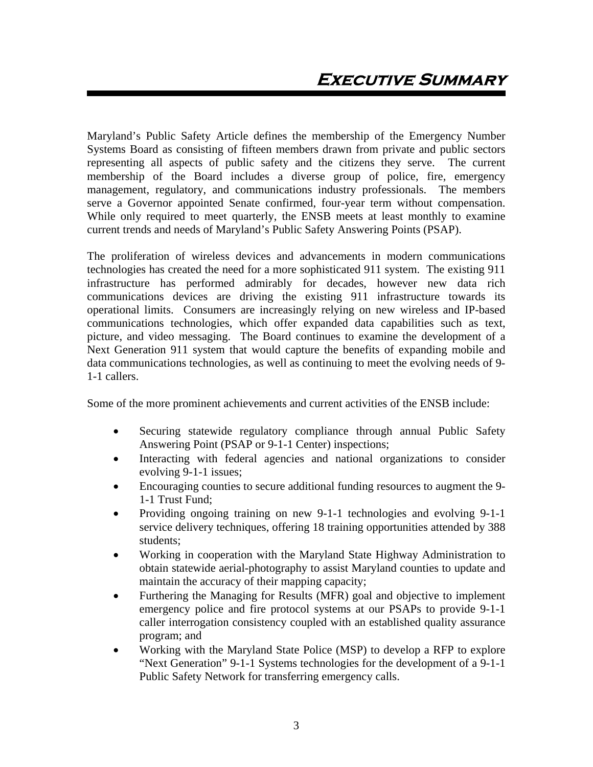Maryland's Public Safety Article defines the membership of the Emergency Number Systems Board as consisting of fifteen members drawn from private and public sectors representing all aspects of public safety and the citizens they serve. The current membership of the Board includes a diverse group of police, fire, emergency management, regulatory, and communications industry professionals. The members serve a Governor appointed Senate confirmed, four-year term without compensation. While only required to meet quarterly, the ENSB meets at least monthly to examine current trends and needs of Maryland's Public Safety Answering Points (PSAP).

The proliferation of wireless devices and advancements in modern communications technologies has created the need for a more sophisticated 911 system. The existing 911 infrastructure has performed admirably for decades, however new data rich communications devices are driving the existing 911 infrastructure towards its operational limits. Consumers are increasingly relying on new wireless and IP-based communications technologies, which offer expanded data capabilities such as text, picture, and video messaging. The Board continues to examine the development of a Next Generation 911 system that would capture the benefits of expanding mobile and data communications technologies, as well as continuing to meet the evolving needs of 9- 1-1 callers.

Some of the more prominent achievements and current activities of the ENSB include:

- Securing statewide regulatory compliance through annual Public Safety Answering Point (PSAP or 9-1-1 Center) inspections;
- Interacting with federal agencies and national organizations to consider evolving 9-1-1 issues;
- Encouraging counties to secure additional funding resources to augment the 9- 1-1 Trust Fund;
- Providing ongoing training on new 9-1-1 technologies and evolving 9-1-1 service delivery techniques, offering 18 training opportunities attended by 388 students;
- Working in cooperation with the Maryland State Highway Administration to obtain statewide aerial-photography to assist Maryland counties to update and maintain the accuracy of their mapping capacity;
- Furthering the Managing for Results (MFR) goal and objective to implement emergency police and fire protocol systems at our PSAPs to provide 9-1-1 caller interrogation consistency coupled with an established quality assurance program; and
- Working with the Maryland State Police (MSP) to develop a RFP to explore "Next Generation" 9-1-1 Systems technologies for the development of a 9-1-1 Public Safety Network for transferring emergency calls.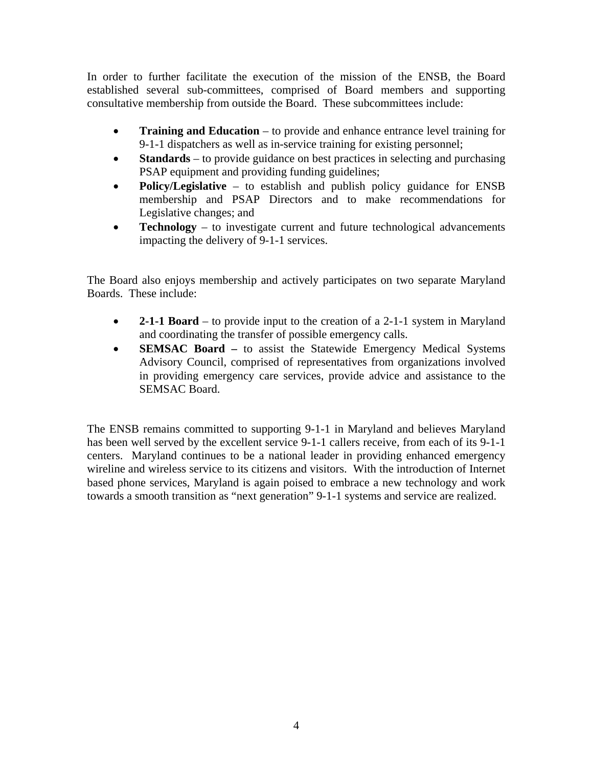In order to further facilitate the execution of the mission of the ENSB, the Board established several sub-committees, comprised of Board members and supporting consultative membership from outside the Board. These subcommittees include:

- **Training and Education** to provide and enhance entrance level training for 9-1-1 dispatchers as well as in-service training for existing personnel;
- **Standards** to provide guidance on best practices in selecting and purchasing PSAP equipment and providing funding guidelines;
- **Policy/Legislative** to establish and publish policy guidance for ENSB membership and PSAP Directors and to make recommendations for Legislative changes; and
- **Technology** to investigate current and future technological advancements impacting the delivery of 9-1-1 services.

The Board also enjoys membership and actively participates on two separate Maryland Boards. These include:

- **2-1-1 Board** to provide input to the creation of a 2-1-1 system in Maryland and coordinating the transfer of possible emergency calls.
- **SEMSAC Board** to assist the Statewide Emergency Medical Systems Advisory Council, comprised of representatives from organizations involved in providing emergency care services, provide advice and assistance to the SEMSAC Board.

The ENSB remains committed to supporting 9-1-1 in Maryland and believes Maryland has been well served by the excellent service 9-1-1 callers receive, from each of its 9-1-1 centers. Maryland continues to be a national leader in providing enhanced emergency wireline and wireless service to its citizens and visitors. With the introduction of Internet based phone services, Maryland is again poised to embrace a new technology and work towards a smooth transition as "next generation" 9-1-1 systems and service are realized.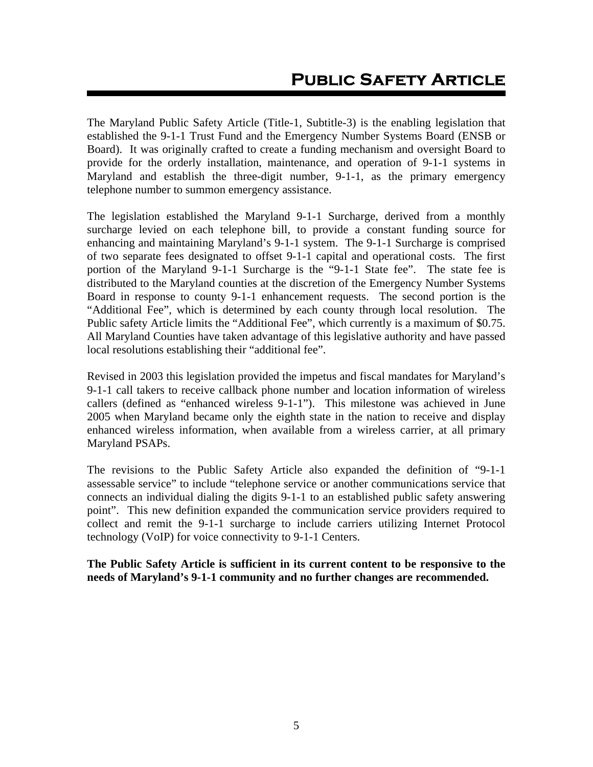The Maryland Public Safety Article (Title-1, Subtitle-3) is the enabling legislation that established the 9-1-1 Trust Fund and the Emergency Number Systems Board (ENSB or Board). It was originally crafted to create a funding mechanism and oversight Board to provide for the orderly installation, maintenance, and operation of 9-1-1 systems in Maryland and establish the three-digit number, 9-1-1, as the primary emergency telephone number to summon emergency assistance.

The legislation established the Maryland 9-1-1 Surcharge, derived from a monthly surcharge levied on each telephone bill, to provide a constant funding source for enhancing and maintaining Maryland's 9-1-1 system. The 9-1-1 Surcharge is comprised of two separate fees designated to offset 9-1-1 capital and operational costs. The first portion of the Maryland 9-1-1 Surcharge is the "9-1-1 State fee". The state fee is distributed to the Maryland counties at the discretion of the Emergency Number Systems Board in response to county 9-1-1 enhancement requests. The second portion is the "Additional Fee", which is determined by each county through local resolution. The Public safety Article limits the "Additional Fee", which currently is a maximum of \$0.75. All Maryland Counties have taken advantage of this legislative authority and have passed local resolutions establishing their "additional fee".

Revised in 2003 this legislation provided the impetus and fiscal mandates for Maryland's 9-1-1 call takers to receive callback phone number and location information of wireless callers (defined as "enhanced wireless 9-1-1"). This milestone was achieved in June 2005 when Maryland became only the eighth state in the nation to receive and display enhanced wireless information, when available from a wireless carrier, at all primary Maryland PSAPs.

The revisions to the Public Safety Article also expanded the definition of "9-1-1 assessable service" to include "telephone service or another communications service that connects an individual dialing the digits 9-1-1 to an established public safety answering point". This new definition expanded the communication service providers required to collect and remit the 9-1-1 surcharge to include carriers utilizing Internet Protocol technology (VoIP) for voice connectivity to 9-1-1 Centers.

**The Public Safety Article is sufficient in its current content to be responsive to the needs of Maryland's 9-1-1 community and no further changes are recommended.**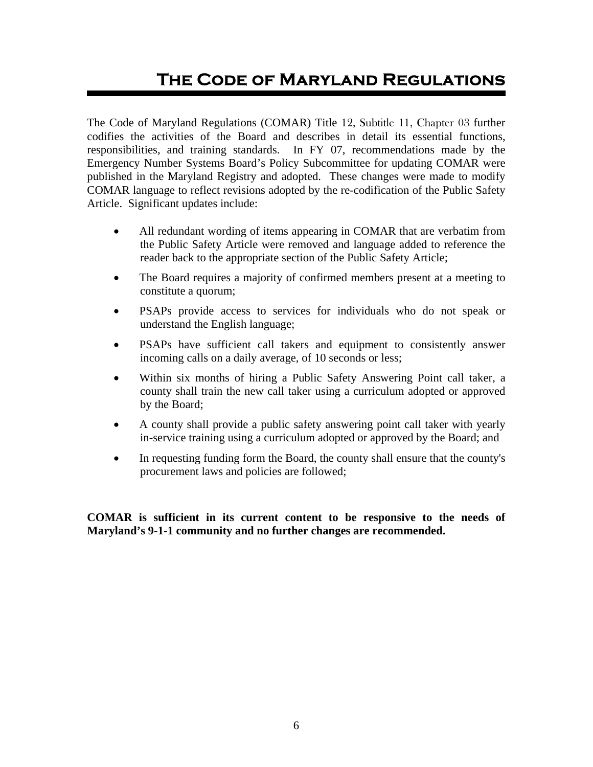# **The Code of Maryland Regulations**

The Code of Maryland Regulations (COMAR) Title 12, Subtitle 11, Chapter 03 further codifies the activities of the Board and describes in detail its essential functions, responsibilities, and training standards. In FY 07, recommendations made by the Emergency Number Systems Board's Policy Subcommittee for updating COMAR were published in the Maryland Registry and adopted. These changes were made to modify COMAR language to reflect revisions adopted by the re-codification of the Public Safety Article. Significant updates include:

- All redundant wording of items appearing in COMAR that are verbatim from the Public Safety Article were removed and language added to reference the reader back to the appropriate section of the Public Safety Article;
- The Board requires a majority of confirmed members present at a meeting to constitute a quorum;
- PSAPs provide access to services for individuals who do not speak or understand the English language;
- PSAPs have sufficient call takers and equipment to consistently answer incoming calls on a daily average, of 10 seconds or less;
- Within six months of hiring a Public Safety Answering Point call taker, a county shall train the new call taker using a curriculum adopted or approved by the Board;
- A county shall provide a public safety answering point call taker with yearly in-service training using a curriculum adopted or approved by the Board; and
- In requesting funding form the Board, the county shall ensure that the county's procurement laws and policies are followed;

**COMAR is sufficient in its current content to be responsive to the needs of Maryland's 9-1-1 community and no further changes are recommended.**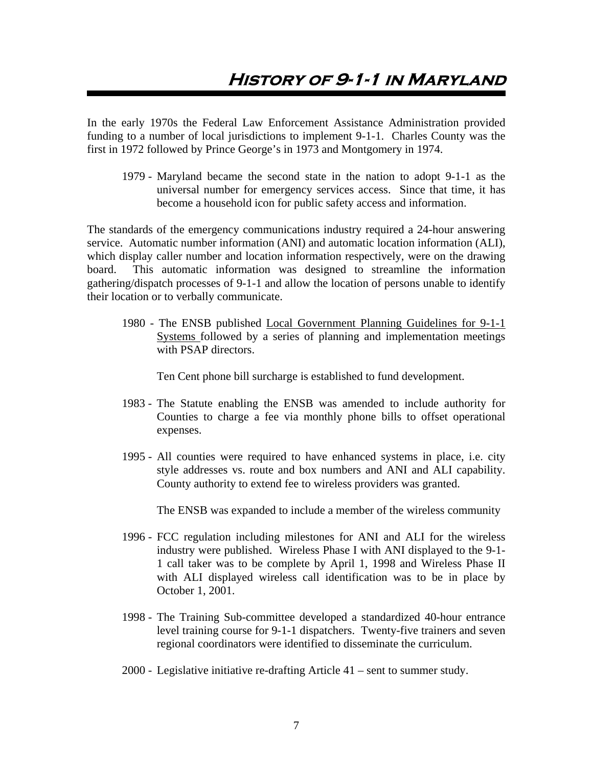# **History of 9-1-1 in Maryland**

In the early 1970s the Federal Law Enforcement Assistance Administration provided funding to a number of local jurisdictions to implement 9-1-1. Charles County was the first in 1972 followed by Prince George's in 1973 and Montgomery in 1974.

1979 - Maryland became the second state in the nation to adopt 9-1-1 as the universal number for emergency services access. Since that time, it has become a household icon for public safety access and information.

The standards of the emergency communications industry required a 24-hour answering service. Automatic number information (ANI) and automatic location information (ALI), which display caller number and location information respectively, were on the drawing board. This automatic information was designed to streamline the information gathering/dispatch processes of 9-1-1 and allow the location of persons unable to identify their location or to verbally communicate.

1980 - The ENSB published Local Government Planning Guidelines for 9-1-1 Systems followed by a series of planning and implementation meetings with PSAP directors.

Ten Cent phone bill surcharge is established to fund development.

- 1983 The Statute enabling the ENSB was amended to include authority for Counties to charge a fee via monthly phone bills to offset operational expenses.
- 1995 All counties were required to have enhanced systems in place, i.e. city style addresses vs. route and box numbers and ANI and ALI capability. County authority to extend fee to wireless providers was granted.

The ENSB was expanded to include a member of the wireless community

- 1996 FCC regulation including milestones for ANI and ALI for the wireless industry were published. Wireless Phase I with ANI displayed to the 9-1- 1 call taker was to be complete by April 1, 1998 and Wireless Phase II with ALI displayed wireless call identification was to be in place by October 1, 2001.
- 1998 The Training Sub-committee developed a standardized 40-hour entrance level training course for 9-1-1 dispatchers. Twenty-five trainers and seven regional coordinators were identified to disseminate the curriculum.
- 2000 Legislative initiative re-drafting Article 41 sent to summer study.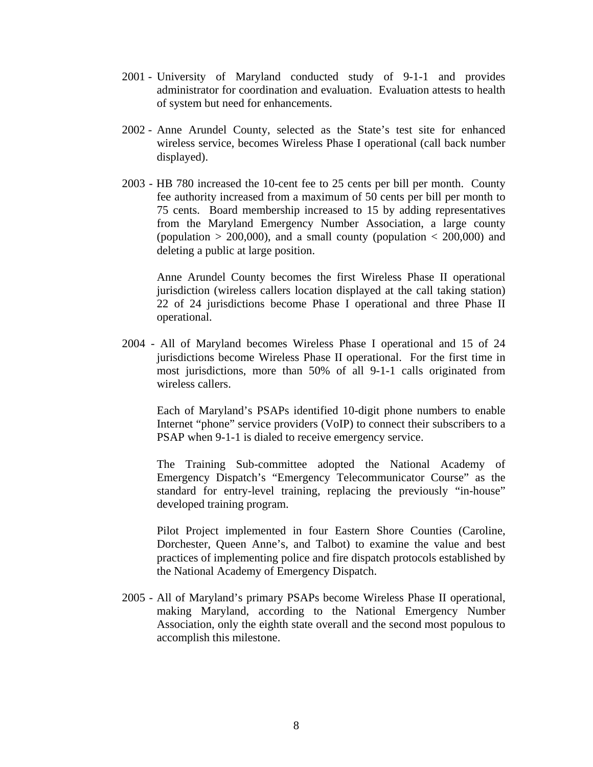- 2001 University of Maryland conducted study of 9-1-1 and provides administrator for coordination and evaluation. Evaluation attests to health of system but need for enhancements.
- 2002 Anne Arundel County, selected as the State's test site for enhanced wireless service, becomes Wireless Phase I operational (call back number displayed).
- 2003 HB 780 increased the 10-cent fee to 25 cents per bill per month. County fee authority increased from a maximum of 50 cents per bill per month to 75 cents. Board membership increased to 15 by adding representatives from the Maryland Emergency Number Association, a large county (population  $> 200,000$ ), and a small county (population  $< 200,000$ ) and deleting a public at large position.

Anne Arundel County becomes the first Wireless Phase II operational jurisdiction (wireless callers location displayed at the call taking station) 22 of 24 jurisdictions become Phase I operational and three Phase II operational.

2004 - All of Maryland becomes Wireless Phase I operational and 15 of 24 jurisdictions become Wireless Phase II operational. For the first time in most jurisdictions, more than 50% of all 9-1-1 calls originated from wireless callers.

Each of Maryland's PSAPs identified 10-digit phone numbers to enable Internet "phone" service providers (VoIP) to connect their subscribers to a PSAP when 9-1-1 is dialed to receive emergency service.

The Training Sub-committee adopted the National Academy of Emergency Dispatch's "Emergency Telecommunicator Course" as the standard for entry-level training, replacing the previously "in-house" developed training program.

Pilot Project implemented in four Eastern Shore Counties (Caroline, Dorchester, Queen Anne's, and Talbot) to examine the value and best practices of implementing police and fire dispatch protocols established by the National Academy of Emergency Dispatch.

2005 - All of Maryland's primary PSAPs become Wireless Phase II operational, making Maryland, according to the National Emergency Number Association, only the eighth state overall and the second most populous to accomplish this milestone.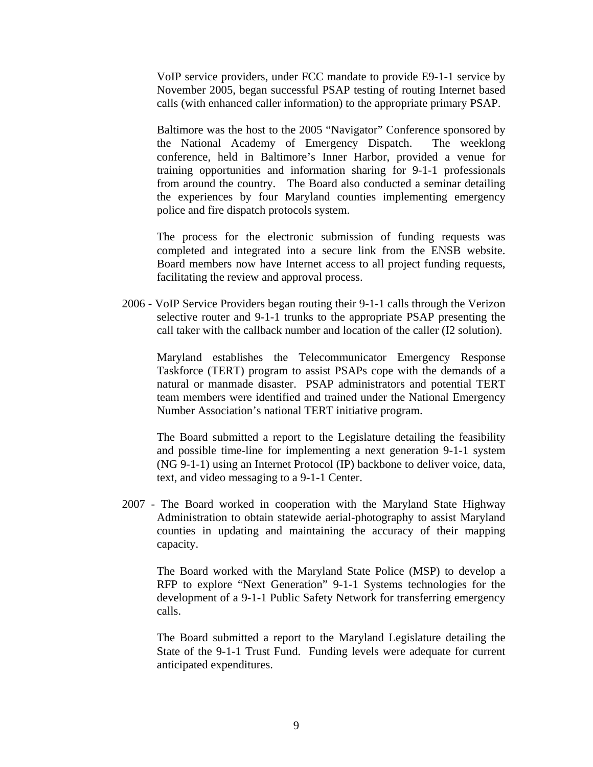VoIP service providers, under FCC mandate to provide E9-1-1 service by November 2005, began successful PSAP testing of routing Internet based calls (with enhanced caller information) to the appropriate primary PSAP.

Baltimore was the host to the 2005 "Navigator" Conference sponsored by the National Academy of Emergency Dispatch. The weeklong conference, held in Baltimore's Inner Harbor, provided a venue for training opportunities and information sharing for 9-1-1 professionals from around the country. The Board also conducted a seminar detailing the experiences by four Maryland counties implementing emergency police and fire dispatch protocols system.

The process for the electronic submission of funding requests was completed and integrated into a secure link from the ENSB website. Board members now have Internet access to all project funding requests, facilitating the review and approval process.

2006 - VoIP Service Providers began routing their 9-1-1 calls through the Verizon selective router and 9-1-1 trunks to the appropriate PSAP presenting the call taker with the callback number and location of the caller (I2 solution).

Maryland establishes the Telecommunicator Emergency Response Taskforce (TERT) program to assist PSAPs cope with the demands of a natural or manmade disaster. PSAP administrators and potential TERT team members were identified and trained under the National Emergency Number Association's national TERT initiative program.

The Board submitted a report to the Legislature detailing the feasibility and possible time-line for implementing a next generation 9-1-1 system (NG 9-1-1) using an Internet Protocol (IP) backbone to deliver voice, data, text, and video messaging to a 9-1-1 Center.

2007 - The Board worked in cooperation with the Maryland State Highway Administration to obtain statewide aerial-photography to assist Maryland counties in updating and maintaining the accuracy of their mapping capacity.

The Board worked with the Maryland State Police (MSP) to develop a RFP to explore "Next Generation" 9-1-1 Systems technologies for the development of a 9-1-1 Public Safety Network for transferring emergency calls.

The Board submitted a report to the Maryland Legislature detailing the State of the 9-1-1 Trust Fund. Funding levels were adequate for current anticipated expenditures.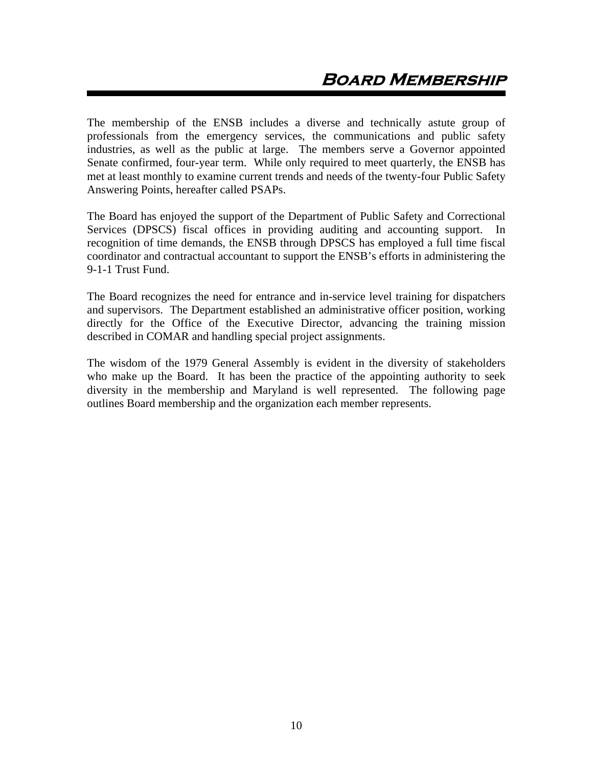The membership of the ENSB includes a diverse and technically astute group of professionals from the emergency services, the communications and public safety industries, as well as the public at large. The members serve a Governor appointed Senate confirmed, four-year term. While only required to meet quarterly, the ENSB has met at least monthly to examine current trends and needs of the twenty-four Public Safety Answering Points, hereafter called PSAPs.

The Board has enjoyed the support of the Department of Public Safety and Correctional Services (DPSCS) fiscal offices in providing auditing and accounting support. In recognition of time demands, the ENSB through DPSCS has employed a full time fiscal coordinator and contractual accountant to support the ENSB's efforts in administering the 9-1-1 Trust Fund.

The Board recognizes the need for entrance and in-service level training for dispatchers and supervisors. The Department established an administrative officer position, working directly for the Office of the Executive Director, advancing the training mission described in COMAR and handling special project assignments.

The wisdom of the 1979 General Assembly is evident in the diversity of stakeholders who make up the Board. It has been the practice of the appointing authority to seek diversity in the membership and Maryland is well represented. The following page outlines Board membership and the organization each member represents.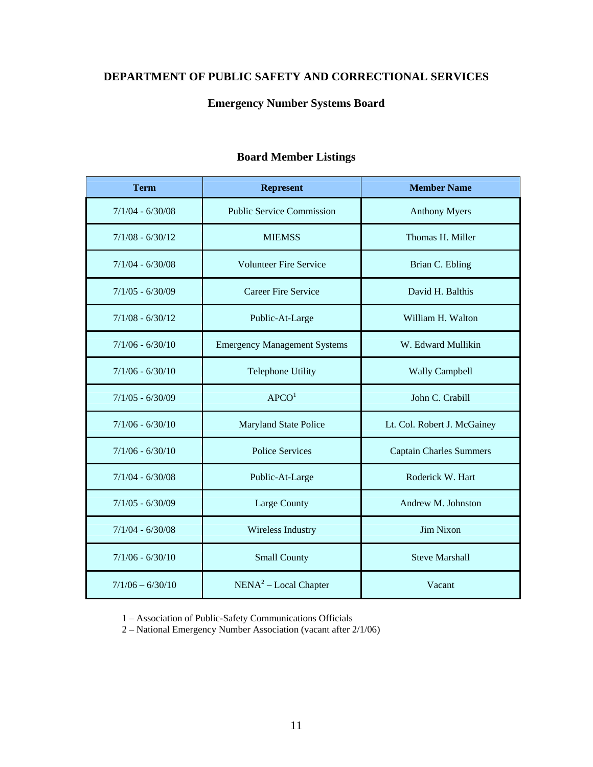# **DEPARTMENT OF PUBLIC SAFETY AND CORRECTIONAL SERVICES**

# **Emergency Number Systems Board**

| <b>Term</b>        | <b>Represent</b>                    | <b>Member Name</b>             |
|--------------------|-------------------------------------|--------------------------------|
| $7/1/04 - 6/30/08$ | <b>Public Service Commission</b>    | <b>Anthony Myers</b>           |
| $7/1/08 - 6/30/12$ | <b>MIEMSS</b>                       | Thomas H. Miller               |
| $7/1/04 - 6/30/08$ | <b>Volunteer Fire Service</b>       | Brian C. Ebling                |
| $7/1/05 - 6/30/09$ | Career Fire Service                 | David H. Balthis               |
| $7/1/08 - 6/30/12$ | Public-At-Large                     | William H. Walton              |
| $7/1/06 - 6/30/10$ | <b>Emergency Management Systems</b> | W. Edward Mullikin             |
| $7/1/06 - 6/30/10$ | <b>Telephone Utility</b>            | <b>Wally Campbell</b>          |
| $7/1/05 - 6/30/09$ | APCO <sup>1</sup>                   | John C. Crabill                |
| $7/1/06 - 6/30/10$ | <b>Maryland State Police</b>        | Lt. Col. Robert J. McGainey    |
| $7/1/06 - 6/30/10$ | <b>Police Services</b>              | <b>Captain Charles Summers</b> |
| $7/1/04 - 6/30/08$ | Public-At-Large                     | Roderick W. Hart               |
| $7/1/05 - 6/30/09$ | Large County                        | Andrew M. Johnston             |
| $7/1/04 - 6/30/08$ | <b>Wireless Industry</b>            | <b>Jim Nixon</b>               |
| $7/1/06 - 6/30/10$ | <b>Small County</b>                 | <b>Steve Marshall</b>          |
| $7/1/06 - 6/30/10$ | NENA <sup>2</sup> – Local Chapter   | Vacant                         |

# **Board Member Listings**

1 – Association of Public-Safety Communications Officials

2 – National Emergency Number Association (vacant after 2/1/06)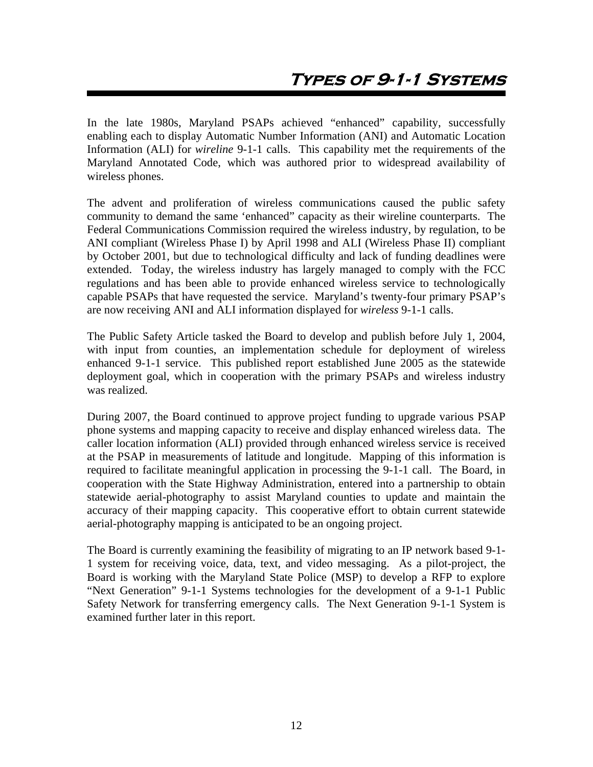In the late 1980s, Maryland PSAPs achieved "enhanced" capability, successfully enabling each to display Automatic Number Information (ANI) and Automatic Location Information (ALI) for *wireline* 9-1-1 calls. This capability met the requirements of the Maryland Annotated Code, which was authored prior to widespread availability of wireless phones.

The advent and proliferation of wireless communications caused the public safety community to demand the same 'enhanced" capacity as their wireline counterparts. The Federal Communications Commission required the wireless industry, by regulation, to be ANI compliant (Wireless Phase I) by April 1998 and ALI (Wireless Phase II) compliant by October 2001, but due to technological difficulty and lack of funding deadlines were extended. Today, the wireless industry has largely managed to comply with the FCC regulations and has been able to provide enhanced wireless service to technologically capable PSAPs that have requested the service. Maryland's twenty-four primary PSAP's are now receiving ANI and ALI information displayed for *wireless* 9-1-1 calls.

The Public Safety Article tasked the Board to develop and publish before July 1, 2004, with input from counties, an implementation schedule for deployment of wireless enhanced 9-1-1 service. This published report established June 2005 as the statewide deployment goal, which in cooperation with the primary PSAPs and wireless industry was realized.

During 2007, the Board continued to approve project funding to upgrade various PSAP phone systems and mapping capacity to receive and display enhanced wireless data. The caller location information (ALI) provided through enhanced wireless service is received at the PSAP in measurements of latitude and longitude. Mapping of this information is required to facilitate meaningful application in processing the 9-1-1 call. The Board, in cooperation with the State Highway Administration, entered into a partnership to obtain statewide aerial-photography to assist Maryland counties to update and maintain the accuracy of their mapping capacity. This cooperative effort to obtain current statewide aerial-photography mapping is anticipated to be an ongoing project.

The Board is currently examining the feasibility of migrating to an IP network based 9-1- 1 system for receiving voice, data, text, and video messaging. As a pilot-project, the Board is working with the Maryland State Police (MSP) to develop a RFP to explore "Next Generation" 9-1-1 Systems technologies for the development of a 9-1-1 Public Safety Network for transferring emergency calls. The Next Generation 9-1-1 System is examined further later in this report.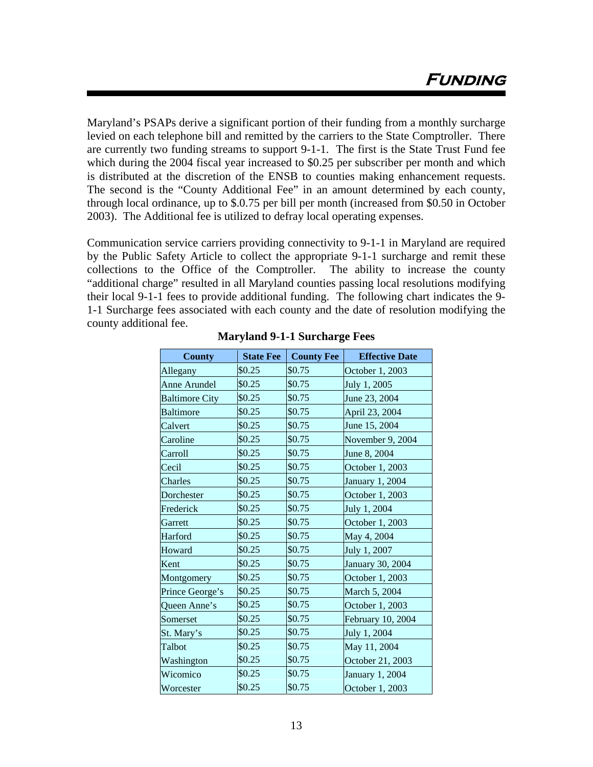Maryland's PSAPs derive a significant portion of their funding from a monthly surcharge levied on each telephone bill and remitted by the carriers to the State Comptroller. There are currently two funding streams to support 9-1-1. The first is the State Trust Fund fee which during the 2004 fiscal year increased to \$0.25 per subscriber per month and which is distributed at the discretion of the ENSB to counties making enhancement requests. The second is the "County Additional Fee" in an amount determined by each county, through local ordinance, up to \$.0.75 per bill per month (increased from \$0.50 in October 2003). The Additional fee is utilized to defray local operating expenses.

Communication service carriers providing connectivity to 9-1-1 in Maryland are required by the Public Safety Article to collect the appropriate 9-1-1 surcharge and remit these collections to the Office of the Comptroller. The ability to increase the county "additional charge" resulted in all Maryland counties passing local resolutions modifying their local 9-1-1 fees to provide additional funding. The following chart indicates the 9- 1-1 Surcharge fees associated with each county and the date of resolution modifying the county additional fee.

| <b>County</b>         | <b>State Fee</b> | <b>County Fee</b> | <b>Effective Date</b> |
|-----------------------|------------------|-------------------|-----------------------|
| Allegany              | \$0.25           | \$0.75            | October 1, 2003       |
| Anne Arundel          | \$0.25           | \$0.75            | July 1, 2005          |
| <b>Baltimore City</b> | \$0.25           | \$0.75            | June 23, 2004         |
| <b>Baltimore</b>      | \$0.25           | \$0.75            | April 23, 2004        |
| Calvert               | \$0.25           | \$0.75            | June 15, 2004         |
| Caroline              | \$0.25           | \$0.75            | November 9, 2004      |
| Carroll               | \$0.25           | \$0.75            | June 8, 2004          |
| Cecil                 | \$0.25           | \$0.75            | October 1, 2003       |
| Charles               | \$0.25           | \$0.75            | January 1, 2004       |
| Dorchester            | \$0.25           | \$0.75            | October 1, 2003       |
| Frederick             | \$0.25           | \$0.75            | July 1, 2004          |
| Garrett               | \$0.25           | \$0.75            | October 1, 2003       |
| Harford               | \$0.25           | \$0.75            | May 4, 2004           |
| Howard                | \$0.25           | \$0.75            | July 1, 2007          |
| Kent                  | \$0.25           | \$0.75            | January 30, 2004      |
| Montgomery            | \$0.25           | \$0.75            | October 1, 2003       |
| Prince George's       | \$0.25           | \$0.75            | March 5, 2004         |
| Queen Anne's          | \$0.25           | \$0.75            | October 1, 2003       |
| Somerset              | \$0.25           | \$0.75            | February 10, 2004     |
| St. Mary's            | \$0.25           | \$0.75            | July 1, 2004          |
| Talbot                | \$0.25           | \$0.75            | May 11, 2004          |
| Washington            | \$0.25           | \$0.75            | October 21, 2003      |
| Wicomico              | \$0.25           | \$0.75            | January 1, 2004       |
| Worcester             | \$0.25           | \$0.75            | October 1, 2003       |

**Maryland 9-1-1 Surcharge Fees**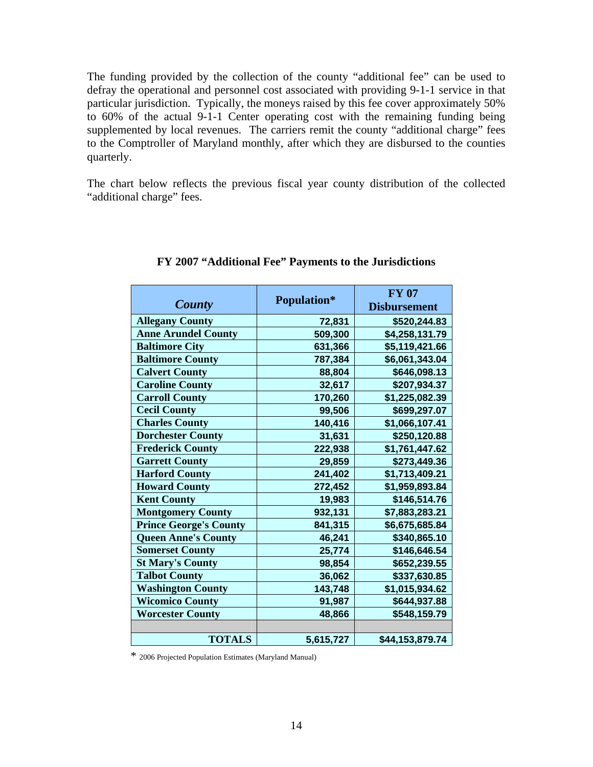The funding provided by the collection of the county "additional fee" can be used to defray the operational and personnel cost associated with providing 9-1-1 service in that particular jurisdiction. Typically, the moneys raised by this fee cover approximately 50% to 60% of the actual 9-1-1 Center operating cost with the remaining funding being supplemented by local revenues. The carriers remit the county "additional charge" fees to the Comptroller of Maryland monthly, after which they are disbursed to the counties quarterly.

The chart below reflects the previous fiscal year county distribution of the collected "additional charge" fees.

|                               |             | <b>FY 07</b>        |
|-------------------------------|-------------|---------------------|
| County                        | Population* | <b>Disbursement</b> |
| <b>Allegany County</b>        | 72,831      | \$520,244.83        |
| <b>Anne Arundel County</b>    | 509,300     | \$4,258,131.79      |
| <b>Baltimore City</b>         | 631,366     | \$5,119,421.66      |
| <b>Baltimore County</b>       | 787,384     | \$6,061,343.04      |
| <b>Calvert County</b>         | 88,804      | \$646,098.13        |
| <b>Caroline County</b>        | 32,617      | \$207,934.37        |
| <b>Carroll County</b>         | 170,260     | \$1,225,082.39      |
| <b>Cecil County</b>           | 99,506      | \$699,297.07        |
| <b>Charles County</b>         | 140,416     | \$1,066,107.41      |
| <b>Dorchester County</b>      | 31,631      | \$250,120.88        |
| <b>Frederick County</b>       | 222,938     | \$1,761,447.62      |
| <b>Garrett County</b>         | 29,859      | \$273,449.36        |
| <b>Harford County</b>         | 241,402     | \$1,713,409.21      |
| <b>Howard County</b>          | 272,452     | \$1,959,893.84      |
| <b>Kent County</b>            | 19,983      | \$146,514.76        |
| <b>Montgomery County</b>      | 932,131     | \$7,883,283.21      |
| <b>Prince George's County</b> | 841,315     | \$6,675,685.84      |
| <b>Queen Anne's County</b>    | 46,241      | \$340,865.10        |
| <b>Somerset County</b>        | 25,774      | \$146,646.54        |
| <b>St Mary's County</b>       | 98,854      | \$652,239.55        |
| <b>Talbot County</b>          | 36,062      | \$337,630.85        |
| <b>Washington County</b>      | 143,748     | \$1,015,934.62      |
| <b>Wicomico County</b>        | 91,987      | \$644,937.88        |
| <b>Worcester County</b>       | 48,866      | \$548,159.79        |
|                               |             |                     |
| <b>TOTALS</b>                 | 5,615,727   | \$44,153,879.74     |

### **FY 2007 "Additional Fee" Payments to the Jurisdictions**

\* 2006 Projected Population Estimates (Maryland Manual)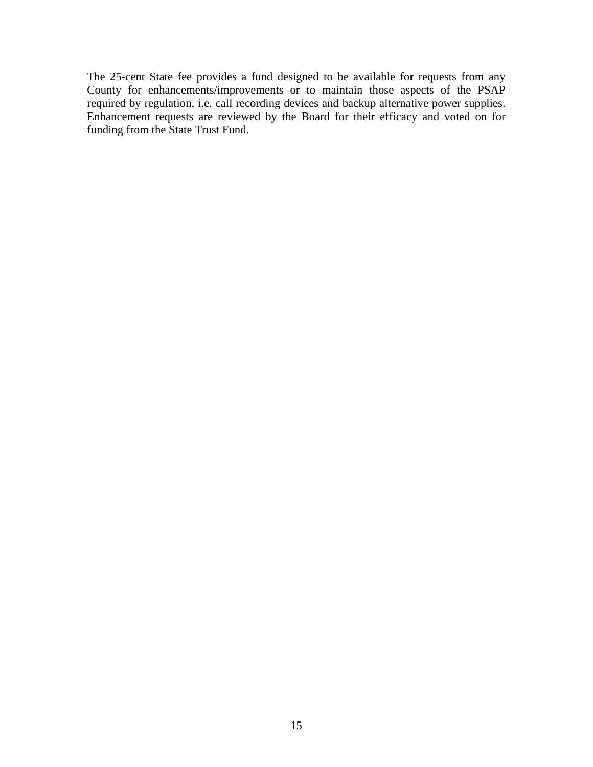The 25-cent State fee provides a fund designed to be available for requests from any County for enhancements/improvements or to maintain those aspects of the PSAP required by regulation, i.e. call recording devices and backup alternative power supplies. Enhancement requests are reviewed by the Board for their efficacy and voted on for funding from the State Trust Fund.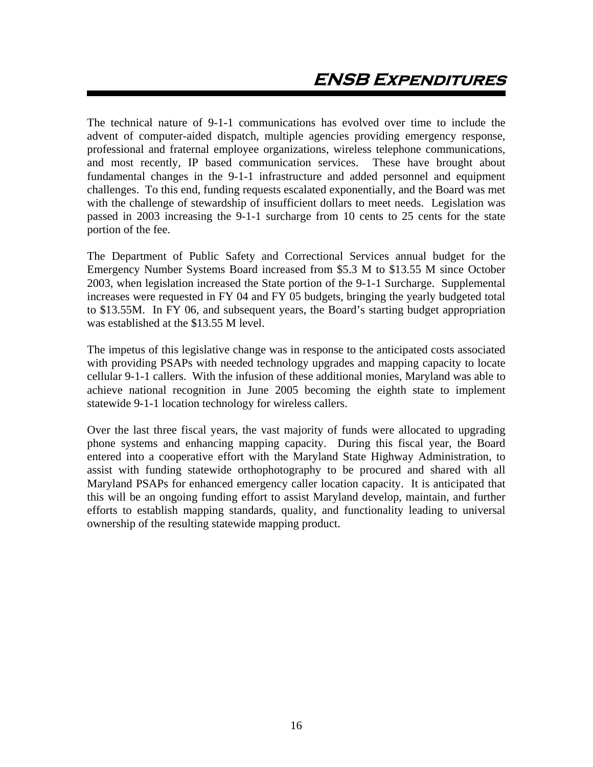The technical nature of 9-1-1 communications has evolved over time to include the advent of computer-aided dispatch, multiple agencies providing emergency response, professional and fraternal employee organizations, wireless telephone communications, and most recently, IP based communication services. These have brought about fundamental changes in the 9-1-1 infrastructure and added personnel and equipment challenges. To this end, funding requests escalated exponentially, and the Board was met with the challenge of stewardship of insufficient dollars to meet needs. Legislation was passed in 2003 increasing the 9-1-1 surcharge from 10 cents to 25 cents for the state portion of the fee.

The Department of Public Safety and Correctional Services annual budget for the Emergency Number Systems Board increased from \$5.3 M to \$13.55 M since October 2003, when legislation increased the State portion of the 9-1-1 Surcharge. Supplemental increases were requested in FY 04 and FY 05 budgets, bringing the yearly budgeted total to \$13.55M. In FY 06, and subsequent years, the Board's starting budget appropriation was established at the \$13.55 M level.

The impetus of this legislative change was in response to the anticipated costs associated with providing PSAPs with needed technology upgrades and mapping capacity to locate cellular 9-1-1 callers. With the infusion of these additional monies, Maryland was able to achieve national recognition in June 2005 becoming the eighth state to implement statewide 9-1-1 location technology for wireless callers.

Over the last three fiscal years, the vast majority of funds were allocated to upgrading phone systems and enhancing mapping capacity. During this fiscal year, the Board entered into a cooperative effort with the Maryland State Highway Administration, to assist with funding statewide orthophotography to be procured and shared with all Maryland PSAPs for enhanced emergency caller location capacity. It is anticipated that this will be an ongoing funding effort to assist Maryland develop, maintain, and further efforts to establish mapping standards, quality, and functionality leading to universal ownership of the resulting statewide mapping product.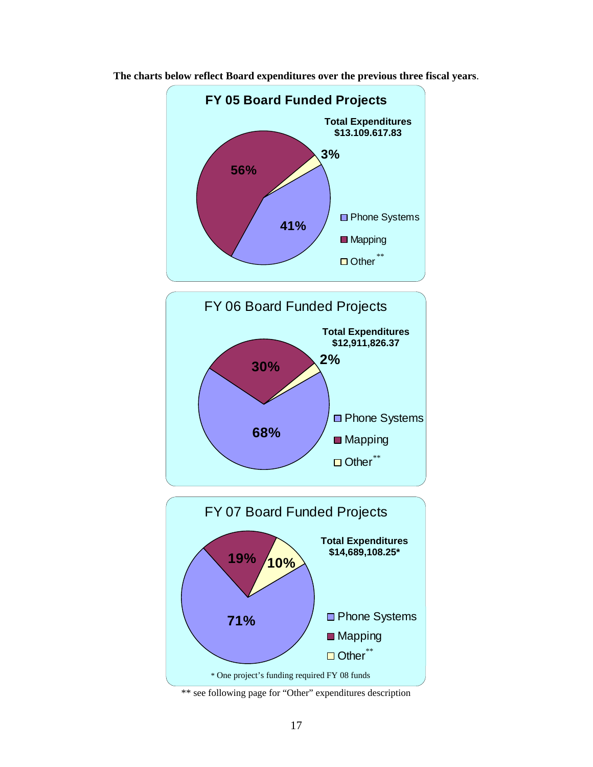

**The charts below reflect Board expenditures over the previous three fiscal years**.





\*\* see following page for "Other" expenditures description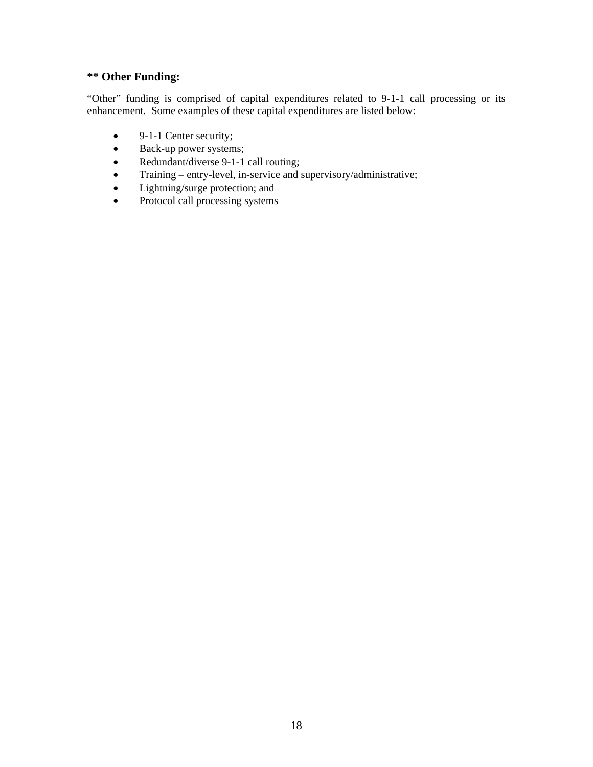# **\*\* Other Funding:**

"Other" funding is comprised of capital expenditures related to 9-1-1 call processing or its enhancement. Some examples of these capital expenditures are listed below:

- 9-1-1 Center security;
- Back-up power systems;
- Redundant/diverse 9-1-1 call routing;
- Training entry-level, in-service and supervisory/administrative;
- Lightning/surge protection; and
- Protocol call processing systems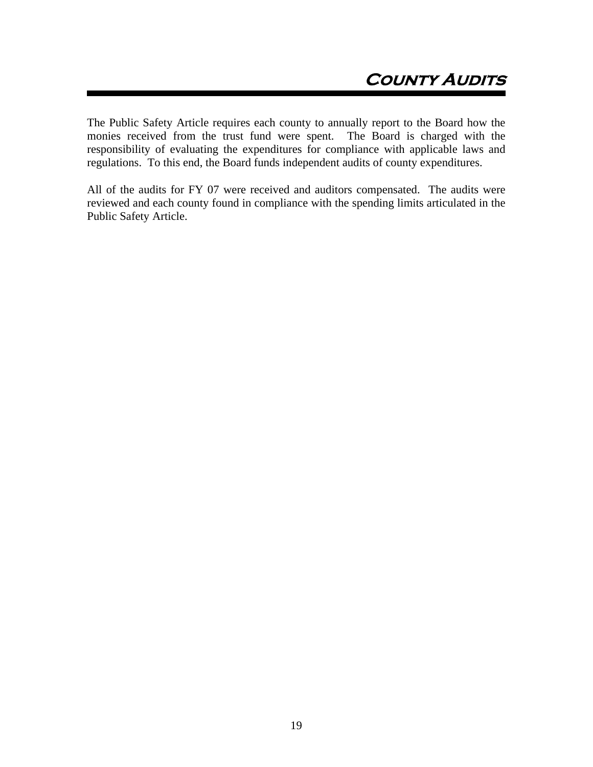The Public Safety Article requires each county to annually report to the Board how the monies received from the trust fund were spent. The Board is charged with the responsibility of evaluating the expenditures for compliance with applicable laws and regulations. To this end, the Board funds independent audits of county expenditures.

All of the audits for FY 07 were received and auditors compensated. The audits were reviewed and each county found in compliance with the spending limits articulated in the Public Safety Article.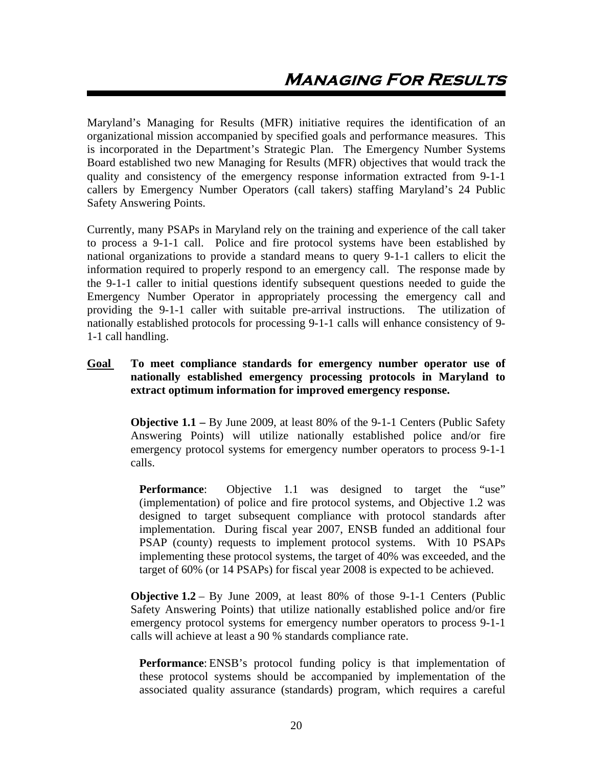Maryland's Managing for Results (MFR) initiative requires the identification of an organizational mission accompanied by specified goals and performance measures. This is incorporated in the Department's Strategic Plan. The Emergency Number Systems Board established two new Managing for Results (MFR) objectives that would track the quality and consistency of the emergency response information extracted from 9-1-1 callers by Emergency Number Operators (call takers) staffing Maryland's 24 Public Safety Answering Points.

Currently, many PSAPs in Maryland rely on the training and experience of the call taker to process a 9-1-1 call. Police and fire protocol systems have been established by national organizations to provide a standard means to query 9-1-1 callers to elicit the information required to properly respond to an emergency call. The response made by the 9-1-1 caller to initial questions identify subsequent questions needed to guide the Emergency Number Operator in appropriately processing the emergency call and providing the 9-1-1 caller with suitable pre-arrival instructions. The utilization of nationally established protocols for processing 9-1-1 calls will enhance consistency of 9- 1-1 call handling.

# **Goal To meet compliance standards for emergency number operator use of nationally established emergency processing protocols in Maryland to extract optimum information for improved emergency response.**

**Objective 1.1 –** By June 2009, at least 80% of the 9-1-1 Centers (Public Safety Answering Points) will utilize nationally established police and/or fire emergency protocol systems for emergency number operators to process 9-1-1 calls.

**Performance:** Objective 1.1 was designed to target the "use" (implementation) of police and fire protocol systems, and Objective 1.2 was designed to target subsequent compliance with protocol standards after implementation. During fiscal year 2007, ENSB funded an additional four PSAP (county) requests to implement protocol systems. With 10 PSAPs implementing these protocol systems, the target of 40% was exceeded, and the target of 60% (or 14 PSAPs) for fiscal year 2008 is expected to be achieved.

**Objective 1.2** – By June 2009, at least 80% of those 9-1-1 Centers (Public Safety Answering Points) that utilize nationally established police and/or fire emergency protocol systems for emergency number operators to process 9-1-1 calls will achieve at least a 90 % standards compliance rate.

**Performance**: ENSB's protocol funding policy is that implementation of these protocol systems should be accompanied by implementation of the associated quality assurance (standards) program, which requires a careful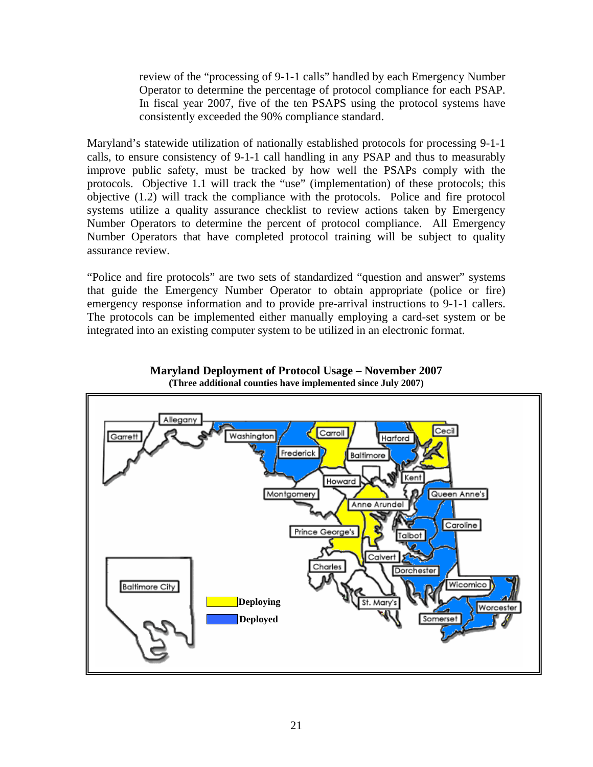review of the "processing of 9-1-1 calls" handled by each Emergency Number Operator to determine the percentage of protocol compliance for each PSAP. In fiscal year 2007, five of the ten PSAPS using the protocol systems have consistently exceeded the 90% compliance standard.

Maryland's statewide utilization of nationally established protocols for processing 9-1-1 calls, to ensure consistency of 9-1-1 call handling in any PSAP and thus to measurably improve public safety, must be tracked by how well the PSAPs comply with the protocols. Objective 1.1 will track the "use" (implementation) of these protocols; this objective (1.2) will track the compliance with the protocols. Police and fire protocol systems utilize a quality assurance checklist to review actions taken by Emergency Number Operators to determine the percent of protocol compliance. All Emergency Number Operators that have completed protocol training will be subject to quality assurance review.

"Police and fire protocols" are two sets of standardized "question and answer" systems that guide the Emergency Number Operator to obtain appropriate (police or fire) emergency response information and to provide pre-arrival instructions to 9-1-1 callers. The protocols can be implemented either manually employing a card-set system or be integrated into an existing computer system to be utilized in an electronic format.



#### **Maryland Deployment of Protocol Usage – November 2007 (Three additional counties have implemented since July 2007)**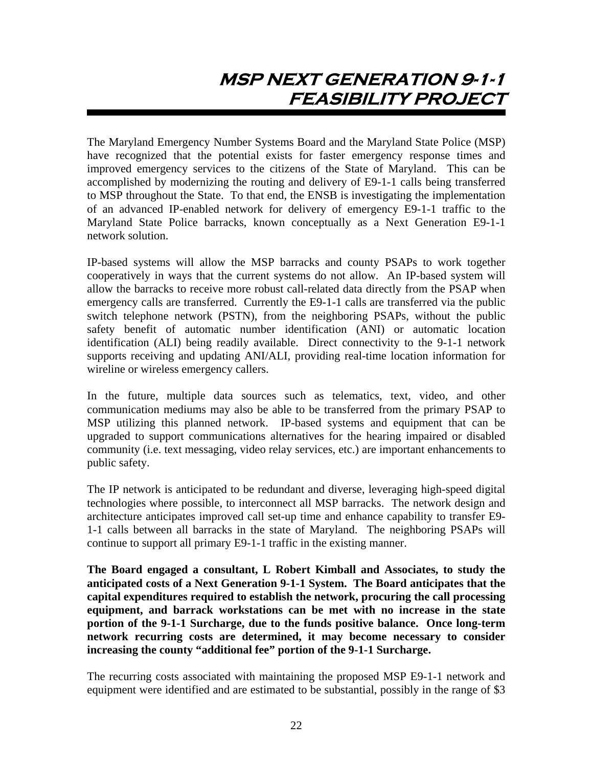# **MSP NEXT GENERATION 9-1-1 FEASIBILITY PROJECT**

The Maryland Emergency Number Systems Board and the Maryland State Police (MSP) have recognized that the potential exists for faster emergency response times and improved emergency services to the citizens of the State of Maryland. This can be accomplished by modernizing the routing and delivery of E9-1-1 calls being transferred to MSP throughout the State. To that end, the ENSB is investigating the implementation of an advanced IP-enabled network for delivery of emergency E9-1-1 traffic to the Maryland State Police barracks, known conceptually as a Next Generation E9-1-1 network solution.

IP-based systems will allow the MSP barracks and county PSAPs to work together cooperatively in ways that the current systems do not allow. An IP-based system will allow the barracks to receive more robust call-related data directly from the PSAP when emergency calls are transferred. Currently the E9-1-1 calls are transferred via the public switch telephone network (PSTN), from the neighboring PSAPs, without the public safety benefit of automatic number identification (ANI) or automatic location identification (ALI) being readily available. Direct connectivity to the 9-1-1 network supports receiving and updating ANI/ALI, providing real-time location information for wireline or wireless emergency callers.

In the future, multiple data sources such as telematics, text, video, and other communication mediums may also be able to be transferred from the primary PSAP to MSP utilizing this planned network. IP-based systems and equipment that can be upgraded to support communications alternatives for the hearing impaired or disabled community (i.e. text messaging, video relay services, etc.) are important enhancements to public safety.

The IP network is anticipated to be redundant and diverse, leveraging high-speed digital technologies where possible, to interconnect all MSP barracks. The network design and architecture anticipates improved call set-up time and enhance capability to transfer E9- 1-1 calls between all barracks in the state of Maryland. The neighboring PSAPs will continue to support all primary E9-1-1 traffic in the existing manner.

**The Board engaged a consultant, L Robert Kimball and Associates, to study the anticipated costs of a Next Generation 9-1-1 System. The Board anticipates that the capital expenditures required to establish the network, procuring the call processing equipment, and barrack workstations can be met with no increase in the state portion of the 9-1-1 Surcharge, due to the funds positive balance. Once long-term network recurring costs are determined, it may become necessary to consider increasing the county "additional fee" portion of the 9-1-1 Surcharge.** 

The recurring costs associated with maintaining the proposed MSP E9-1-1 network and equipment were identified and are estimated to be substantial, possibly in the range of \$3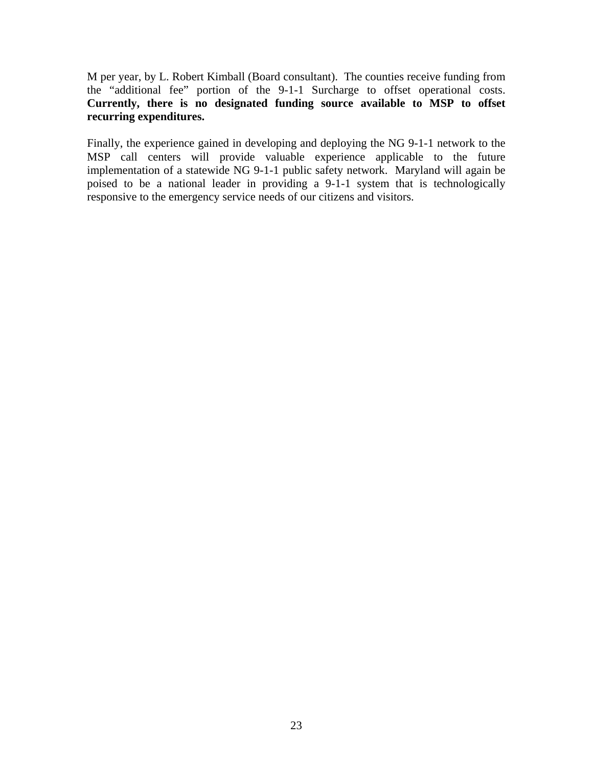M per year, by L. Robert Kimball (Board consultant). The counties receive funding from the "additional fee" portion of the 9-1-1 Surcharge to offset operational costs. **Currently, there is no designated funding source available to MSP to offset recurring expenditures.**

Finally, the experience gained in developing and deploying the NG 9-1-1 network to the MSP call centers will provide valuable experience applicable to the future implementation of a statewide NG 9-1-1 public safety network. Maryland will again be poised to be a national leader in providing a 9-1-1 system that is technologically responsive to the emergency service needs of our citizens and visitors.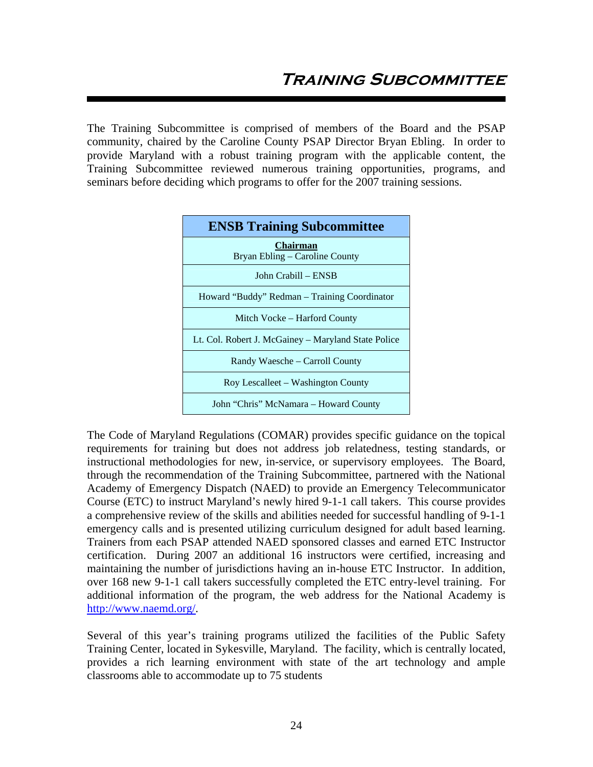The Training Subcommittee is comprised of members of the Board and the PSAP community, chaired by the Caroline County PSAP Director Bryan Ebling. In order to provide Maryland with a robust training program with the applicable content, the Training Subcommittee reviewed numerous training opportunities, programs, and seminars before deciding which programs to offer for the 2007 training sessions.



The Code of Maryland Regulations (COMAR) provides specific guidance on the topical requirements for training but does not address job relatedness, testing standards, or instructional methodologies for new, in-service, or supervisory employees. The Board, through the recommendation of the Training Subcommittee, partnered with the National Academy of Emergency Dispatch (NAED) to provide an Emergency Telecommunicator Course (ETC) to instruct Maryland's newly hired 9-1-1 call takers. This course provides a comprehensive review of the skills and abilities needed for successful handling of 9-1-1 emergency calls and is presented utilizing curriculum designed for adult based learning. Trainers from each PSAP attended NAED sponsored classes and earned ETC Instructor certification. During 2007 an additional 16 instructors were certified, increasing and maintaining the number of jurisdictions having an in-house ETC Instructor. In addition, over 168 new 9-1-1 call takers successfully completed the ETC entry-level training. For additional information of the program, the web address for the National Academy is http://www.naemd.org/.

Several of this year's training programs utilized the facilities of the Public Safety Training Center, located in Sykesville, Maryland. The facility, which is centrally located, provides a rich learning environment with state of the art technology and ample classrooms able to accommodate up to 75 students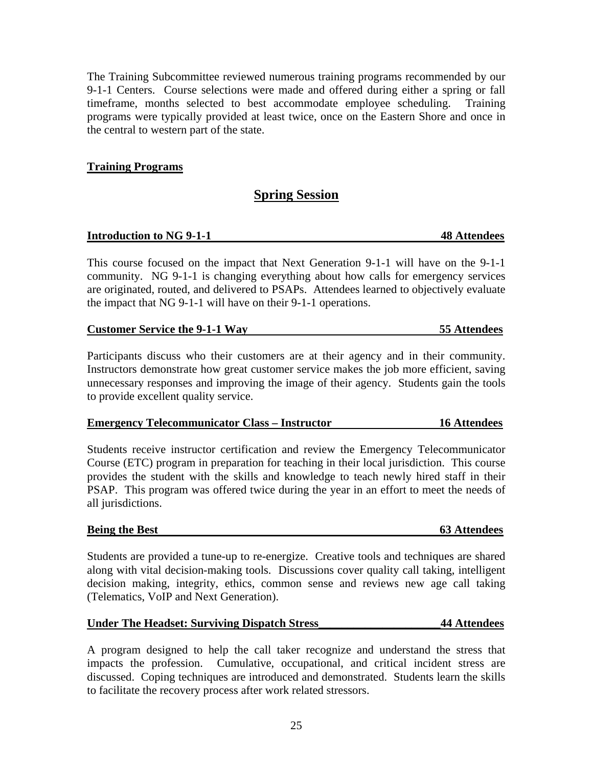The Training Subcommittee reviewed numerous training programs recommended by our 9-1-1 Centers. Course selections were made and offered during either a spring or fall timeframe, months selected to best accommodate employee scheduling. Training programs were typically provided at least twice, once on the Eastern Shore and once in the central to western part of the state.

# **Training Programs**

# **Spring Session**

# **Introduction to NG 9-1-1 48 Attendees**

This course focused on the impact that Next Generation 9-1-1 will have on the 9-1-1 community. NG 9-1-1 is changing everything about how calls for emergency services are originated, routed, and delivered to PSAPs. Attendees learned to objectively evaluate the impact that NG 9-1-1 will have on their 9-1-1 operations.

# **Customer Service the 9-1-1 Way 55 Attendees**

Participants discuss who their customers are at their agency and in their community. Instructors demonstrate how great customer service makes the job more efficient, saving unnecessary responses and improving the image of their agency. Students gain the tools to provide excellent quality service.

# **Emergency Telecommunicator Class – Instructor 16 Attendees**

Students receive instructor certification and review the Emergency Telecommunicator Course (ETC) program in preparation for teaching in their local jurisdiction. This course provides the student with the skills and knowledge to teach newly hired staff in their PSAP. This program was offered twice during the year in an effort to meet the needs of all jurisdictions.

# **Being the Best** 63 Attendees

Students are provided a tune-up to re-energize. Creative tools and techniques are shared along with vital decision-making tools. Discussions cover quality call taking, intelligent decision making, integrity, ethics, common sense and reviews new age call taking (Telematics, VoIP and Next Generation).

# **Under The Headset: Surviving Dispatch Stress\_\_\_\_\_\_\_\_\_\_\_\_\_\_\_\_\_\_\_\_\_44 Attendees**

A program designed to help the call taker recognize and understand the stress that impacts the profession. Cumulative, occupational, and critical incident stress are discussed. Coping techniques are introduced and demonstrated. Students learn the skills to facilitate the recovery process after work related stressors.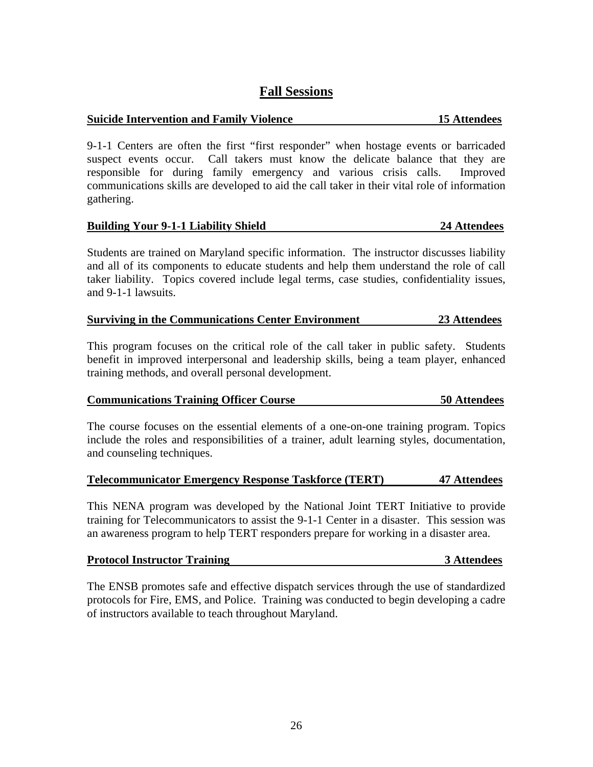# **Fall Sessions**

# **Suicide Intervention and Family Violence 15 Attendees**

9-1-1 Centers are often the first "first responder" when hostage events or barricaded suspect events occur. Call takers must know the delicate balance that they are responsible for during family emergency and various crisis calls. Improved communications skills are developed to aid the call taker in their vital role of information gathering.

# **Building Your 9-1-1 Liability Shield 24 Attendees**

Students are trained on Maryland specific information. The instructor discusses liability and all of its components to educate students and help them understand the role of call taker liability. Topics covered include legal terms, case studies, confidentiality issues, and 9-1-1 lawsuits.

# **Surviving in the Communications Center Environment 23 Attendees**

This program focuses on the critical role of the call taker in public safety. Students benefit in improved interpersonal and leadership skills, being a team player, enhanced training methods, and overall personal development.

# **Communications Training Officer Course 50 Attendees**

The course focuses on the essential elements of a one-on-one training program. Topics include the roles and responsibilities of a trainer, adult learning styles, documentation, and counseling techniques.

# **Telecommunicator Emergency Response Taskforce (TERT) 47 Attendees**

This NENA program was developed by the National Joint TERT Initiative to provide training for Telecommunicators to assist the 9-1-1 Center in a disaster. This session was an awareness program to help TERT responders prepare for working in a disaster area.

| <b>Protocol Instructor Training</b> | 3 Attendees |
|-------------------------------------|-------------|
|                                     |             |

The ENSB promotes safe and effective dispatch services through the use of standardized protocols for Fire, EMS, and Police. Training was conducted to begin developing a cadre of instructors available to teach throughout Maryland.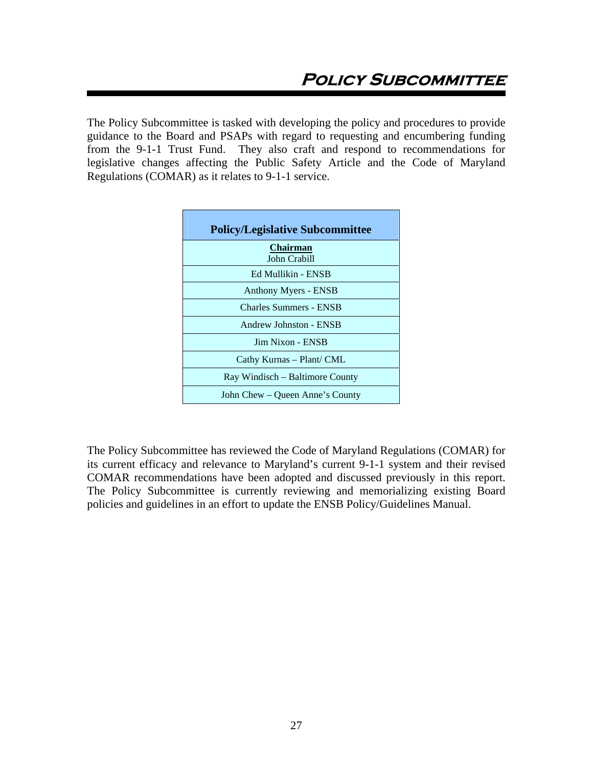The Policy Subcommittee is tasked with developing the policy and procedures to provide guidance to the Board and PSAPs with regard to requesting and encumbering funding from the 9-1-1 Trust Fund. They also craft and respond to recommendations for legislative changes affecting the Public Safety Article and the Code of Maryland Regulations (COMAR) as it relates to 9-1-1 service.

| <b>Policy/Legislative Subcommittee</b> |
|----------------------------------------|
| <b>Chairman</b><br>John Crabill        |
| Ed Mullikin - ENSB                     |
| <b>Anthony Myers - ENSB</b>            |
| <b>Charles Summers - ENSB</b>          |
| Andrew Johnston - ENSB                 |
| Jim Nixon - ENSB                       |
| Cathy Kurnas - Plant/ CML              |
| Ray Windisch – Baltimore County        |
| John Chew – Queen Anne's County        |

The Policy Subcommittee has reviewed the Code of Maryland Regulations (COMAR) for its current efficacy and relevance to Maryland's current 9-1-1 system and their revised COMAR recommendations have been adopted and discussed previously in this report. The Policy Subcommittee is currently reviewing and memorializing existing Board policies and guidelines in an effort to update the ENSB Policy/Guidelines Manual.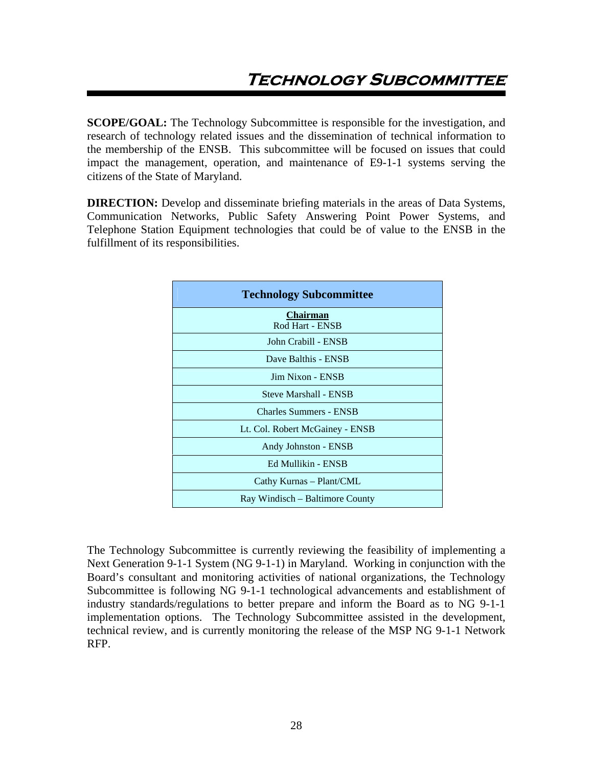**SCOPE/GOAL:** The Technology Subcommittee is responsible for the investigation, and research of technology related issues and the dissemination of technical information to the membership of the ENSB. This subcommittee will be focused on issues that could impact the management, operation, and maintenance of E9-1-1 systems serving the citizens of the State of Maryland.

**DIRECTION:** Develop and disseminate briefing materials in the areas of Data Systems, Communication Networks, Public Safety Answering Point Power Systems, and Telephone Station Equipment technologies that could be of value to the ENSB in the fulfillment of its responsibilities.

| <b>Technology Subcommittee</b>     |
|------------------------------------|
| <b>Chairman</b><br>Rod Hart - ENSB |
| John Crabill - ENSB                |
| Dave Balthis - ENSB                |
| Jim Nixon - ENSB                   |
| <b>Steve Marshall - ENSB</b>       |
| <b>Charles Summers - ENSB</b>      |
| Lt. Col. Robert McGainey - ENSB    |
| Andy Johnston - ENSB               |
| Ed Mullikin - ENSB                 |
| Cathy Kurnas - Plant/CML           |
| Ray Windisch – Baltimore County    |

The Technology Subcommittee is currently reviewing the feasibility of implementing a Next Generation 9-1-1 System (NG 9-1-1) in Maryland. Working in conjunction with the Board's consultant and monitoring activities of national organizations, the Technology Subcommittee is following NG 9-1-1 technological advancements and establishment of industry standards/regulations to better prepare and inform the Board as to NG 9-1-1 implementation options. The Technology Subcommittee assisted in the development, technical review, and is currently monitoring the release of the MSP NG 9-1-1 Network RFP.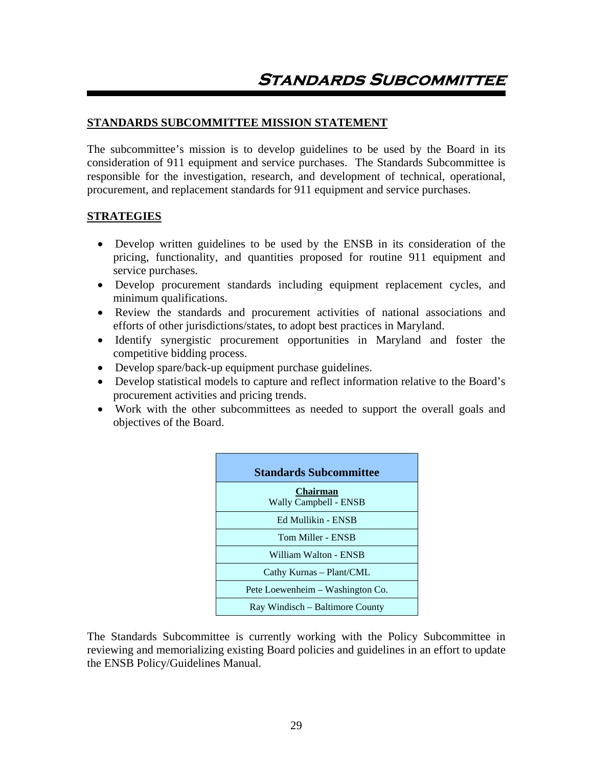# **STANDARDS SUBCOMMITTEE MISSION STATEMENT**

The subcommittee's mission is to develop guidelines to be used by the Board in its consideration of 911 equipment and service purchases. The Standards Subcommittee is responsible for the investigation, research, and development of technical, operational, procurement, and replacement standards for 911 equipment and service purchases.

# **STRATEGIES**

- Develop written guidelines to be used by the ENSB in its consideration of the pricing, functionality, and quantities proposed for routine 911 equipment and service purchases.
- Develop procurement standards including equipment replacement cycles, and minimum qualifications.
- Review the standards and procurement activities of national associations and efforts of other jurisdictions/states, to adopt best practices in Maryland.
- Identify synergistic procurement opportunities in Maryland and foster the competitive bidding process.
- Develop spare/back-up equipment purchase guidelines.
- Develop statistical models to capture and reflect information relative to the Board's procurement activities and pricing trends.
- Work with the other subcommittees as needed to support the overall goals and objectives of the Board.

| <b>Standards Subcommittee</b>            |
|------------------------------------------|
| <b>Chairman</b><br>Wally Campbell - ENSB |
| Ed Mullikin - ENSB                       |
| Tom Miller - ENSB                        |
| William Walton - ENSB                    |
| Cathy Kurnas – Plant/CML                 |
| Pete Loewenheim – Washington Co.         |
| Ray Windisch – Baltimore County          |

The Standards Subcommittee is currently working with the Policy Subcommittee in reviewing and memorializing existing Board policies and guidelines in an effort to update the ENSB Policy/Guidelines Manual.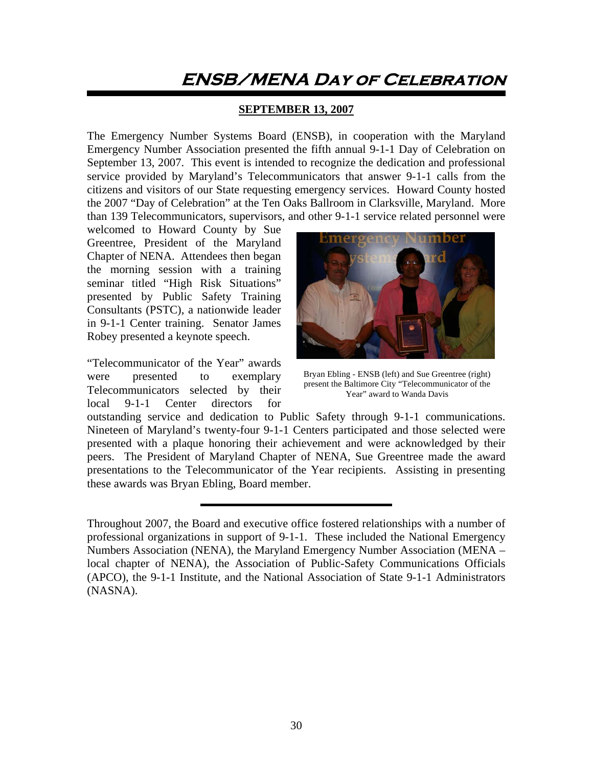# **ENSB/MENA Day of Celebration**

# **SEPTEMBER 13, 2007**

The Emergency Number Systems Board (ENSB), in cooperation with the Maryland Emergency Number Association presented the fifth annual 9-1-1 Day of Celebration on September 13, 2007. This event is intended to recognize the dedication and professional service provided by Maryland's Telecommunicators that answer 9-1-1 calls from the citizens and visitors of our State requesting emergency services. Howard County hosted the 2007 "Day of Celebration" at the Ten Oaks Ballroom in Clarksville, Maryland. More than 139 Telecommunicators, supervisors, and other 9-1-1 service related personnel were

welcomed to Howard County by Sue Greentree, President of the Maryland Chapter of NENA. Attendees then began the morning session with a training seminar titled "High Risk Situations" presented by Public Safety Training Consultants (PSTC), a nationwide leader in 9-1-1 Center training. Senator James Robey presented a keynote speech.

"Telecommunicator of the Year" awards were presented to exemplary Telecommunicators selected by their local 9-1-1 Center directors for



Bryan Ebling - ENSB (left) and Sue Greentree (right) present the Baltimore City "Telecommunicator of the Year" award to Wanda Davis

outstanding service and dedication to Public Safety through 9-1-1 communications. Nineteen of Maryland's twenty-four 9-1-1 Centers participated and those selected were presented with a plaque honoring their achievement and were acknowledged by their peers. The President of Maryland Chapter of NENA, Sue Greentree made the award presentations to the Telecommunicator of the Year recipients. Assisting in presenting these awards was Bryan Ebling, Board member.

Throughout 2007, the Board and executive office fostered relationships with a number of professional organizations in support of 9-1-1. These included the National Emergency Numbers Association (NENA), the Maryland Emergency Number Association (MENA – local chapter of NENA), the Association of Public-Safety Communications Officials (APCO), the 9-1-1 Institute, and the National Association of State 9-1-1 Administrators (NASNA).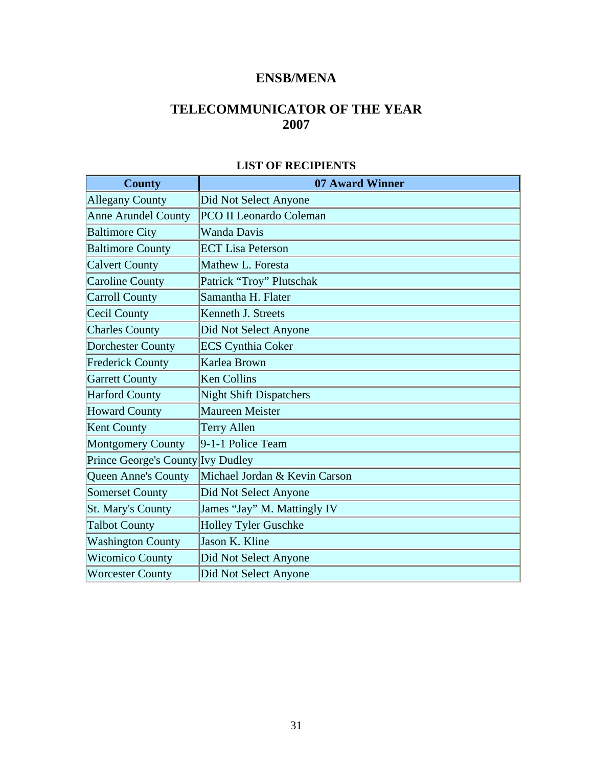# **ENSB/MENA**

# **TELECOMMUNICATOR OF THE YEAR 2007**

| <b>County</b>                     | 07 Award Winner                |
|-----------------------------------|--------------------------------|
| <b>Allegany County</b>            | Did Not Select Anyone          |
| <b>Anne Arundel County</b>        | <b>PCO II Leonardo Coleman</b> |
| <b>Baltimore City</b>             | <b>Wanda Davis</b>             |
| <b>Baltimore County</b>           | <b>ECT Lisa Peterson</b>       |
| <b>Calvert County</b>             | Mathew L. Foresta              |
| <b>Caroline County</b>            | Patrick "Troy" Plutschak       |
| Carroll County                    | Samantha H. Flater             |
| Cecil County                      | Kenneth J. Streets             |
| <b>Charles County</b>             | Did Not Select Anyone          |
| <b>Dorchester County</b>          | <b>ECS Cynthia Coker</b>       |
| <b>Frederick County</b>           | Karlea Brown                   |
| <b>Garrett County</b>             | <b>Ken Collins</b>             |
| <b>Harford County</b>             | <b>Night Shift Dispatchers</b> |
| <b>Howard County</b>              | <b>Maureen Meister</b>         |
| Kent County                       | <b>Terry Allen</b>             |
| <b>Montgomery County</b>          | 9-1-1 Police Team              |
| Prince George's County Ivy Dudley |                                |
| <b>Queen Anne's County</b>        | Michael Jordan & Kevin Carson  |
| <b>Somerset County</b>            | Did Not Select Anyone          |
| <b>St. Mary's County</b>          | James "Jay" M. Mattingly IV    |
| <b>Talbot County</b>              | <b>Holley Tyler Guschke</b>    |
| <b>Washington County</b>          | Jason K. Kline                 |
| <b>Wicomico County</b>            | Did Not Select Anyone          |
| <b>Worcester County</b>           | Did Not Select Anyone          |

# **LIST OF RECIPIENTS**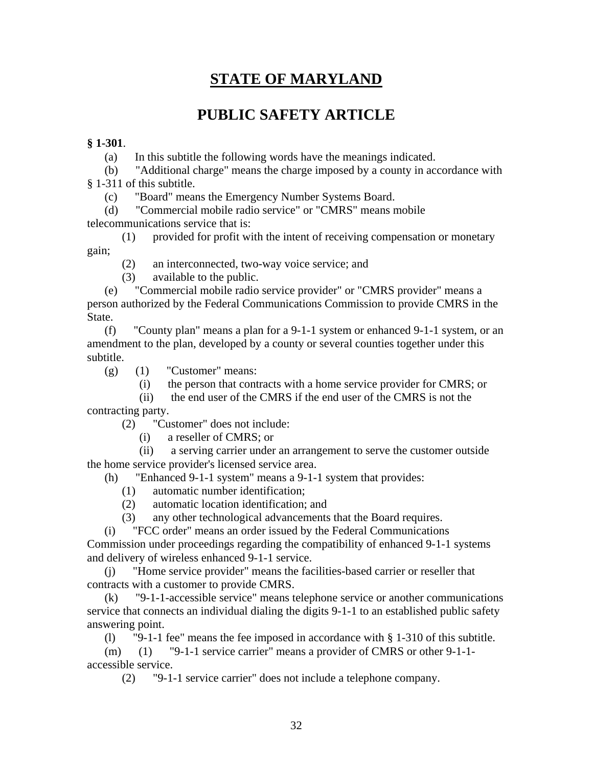# **STATE OF MARYLAND**

# **PUBLIC SAFETY ARTICLE**

# **§ 1-301**.

(a) In this subtitle the following words have the meanings indicated.

 (b) "Additional charge" means the charge imposed by a county in accordance with § 1-311 of this subtitle.

(c) "Board" means the Emergency Number Systems Board.

 (d) "Commercial mobile radio service" or "CMRS" means mobile telecommunications service that is:

 (1) provided for profit with the intent of receiving compensation or monetary gain;

(2) an interconnected, two-way voice service; and

(3) available to the public.

 (e) "Commercial mobile radio service provider" or "CMRS provider" means a person authorized by the Federal Communications Commission to provide CMRS in the State.

 (f) "County plan" means a plan for a 9-1-1 system or enhanced 9-1-1 system, or an amendment to the plan, developed by a county or several counties together under this subtitle.

 $(g)$  (1) "Customer" means:

(i) the person that contracts with a home service provider for CMRS; or

 (ii) the end user of the CMRS if the end user of the CMRS is not the contracting party.

(2) "Customer" does not include:

(i) a reseller of CMRS; or

 (ii) a serving carrier under an arrangement to serve the customer outside the home service provider's licensed service area.

(h) "Enhanced 9-1-1 system" means a 9-1-1 system that provides:

- (1) automatic number identification;
- (2) automatic location identification; and
- (3) any other technological advancements that the Board requires.

(i) "FCC order" means an order issued by the Federal Communications

Commission under proceedings regarding the compatibility of enhanced 9-1-1 systems and delivery of wireless enhanced 9-1-1 service.

 (j) "Home service provider" means the facilities-based carrier or reseller that contracts with a customer to provide CMRS.

 (k) "9-1-1-accessible service" means telephone service or another communications service that connects an individual dialing the digits 9-1-1 to an established public safety answering point.

(l) "9-1-1 fee" means the fee imposed in accordance with § 1-310 of this subtitle.

 (m) (1) "9-1-1 service carrier" means a provider of CMRS or other 9-1-1 accessible service.

(2) "9-1-1 service carrier" does not include a telephone company.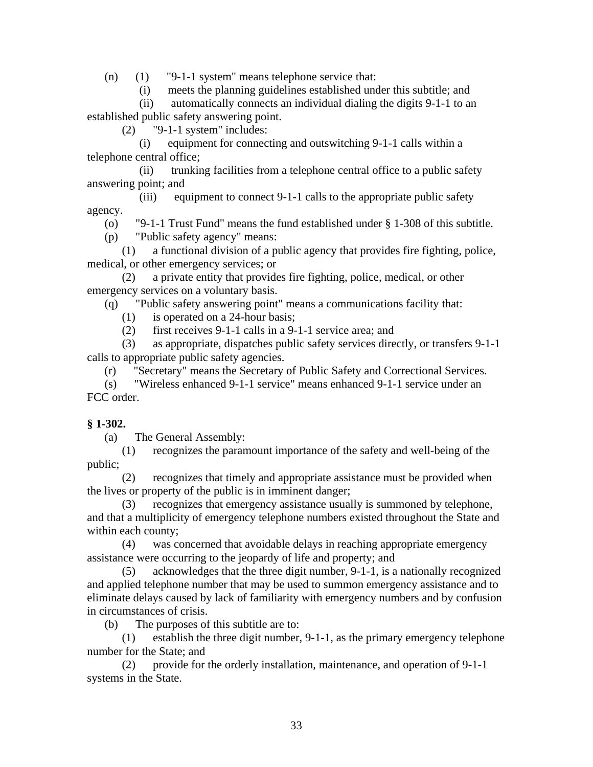(n) (1) "9-1-1 system" means telephone service that:

(i) meets the planning guidelines established under this subtitle; and

 (ii) automatically connects an individual dialing the digits 9-1-1 to an established public safety answering point.

(2) "9-1-1 system" includes:

 (i) equipment for connecting and outswitching 9-1-1 calls within a telephone central office;

 (ii) trunking facilities from a telephone central office to a public safety answering point; and

 (iii) equipment to connect 9-1-1 calls to the appropriate public safety agency.

(o) "9-1-1 Trust Fund" means the fund established under § 1-308 of this subtitle.

(p) "Public safety agency" means:

 (1) a functional division of a public agency that provides fire fighting, police, medical, or other emergency services; or

 (2) a private entity that provides fire fighting, police, medical, or other emergency services on a voluntary basis.

(q) "Public safety answering point" means a communications facility that:

- (1) is operated on a 24-hour basis;
- (2) first receives 9-1-1 calls in a 9-1-1 service area; and

 (3) as appropriate, dispatches public safety services directly, or transfers 9-1-1 calls to appropriate public safety agencies.

(r) "Secretary" means the Secretary of Public Safety and Correctional Services.

 (s) "Wireless enhanced 9-1-1 service" means enhanced 9-1-1 service under an FCC order.

# **§ 1-302.**

(a) The General Assembly:

 (1) recognizes the paramount importance of the safety and well-being of the public;

 (2) recognizes that timely and appropriate assistance must be provided when the lives or property of the public is in imminent danger;

 (3) recognizes that emergency assistance usually is summoned by telephone, and that a multiplicity of emergency telephone numbers existed throughout the State and within each county;

 (4) was concerned that avoidable delays in reaching appropriate emergency assistance were occurring to the jeopardy of life and property; and

 (5) acknowledges that the three digit number, 9-1-1, is a nationally recognized and applied telephone number that may be used to summon emergency assistance and to eliminate delays caused by lack of familiarity with emergency numbers and by confusion in circumstances of crisis.

(b) The purposes of this subtitle are to:

 (1) establish the three digit number, 9-1-1, as the primary emergency telephone number for the State; and

 (2) provide for the orderly installation, maintenance, and operation of 9-1-1 systems in the State.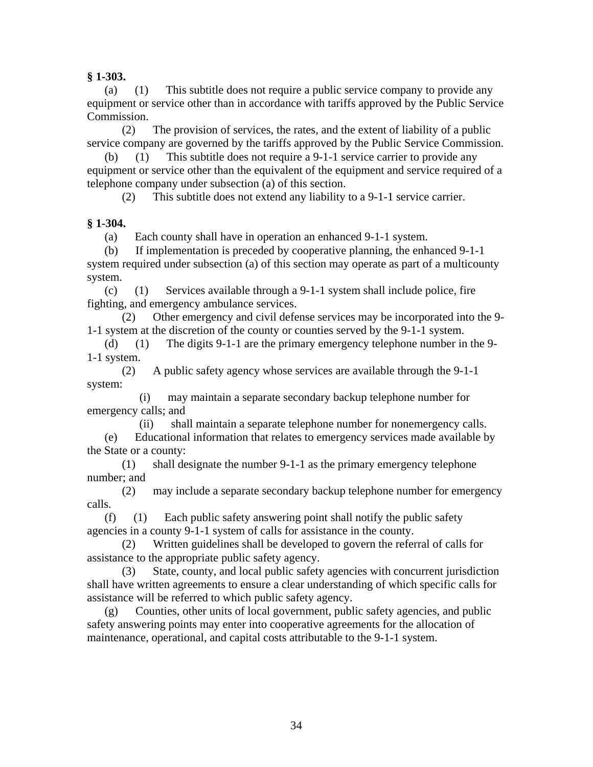**§ 1-303.** 

 (a) (1) This subtitle does not require a public service company to provide any equipment or service other than in accordance with tariffs approved by the Public Service Commission.

 (2) The provision of services, the rates, and the extent of liability of a public service company are governed by the tariffs approved by the Public Service Commission.

 (b) (1) This subtitle does not require a 9-1-1 service carrier to provide any equipment or service other than the equivalent of the equipment and service required of a telephone company under subsection (a) of this section.

(2) This subtitle does not extend any liability to a 9-1-1 service carrier.

# **§ 1-304.**

(a) Each county shall have in operation an enhanced 9-1-1 system.

 (b) If implementation is preceded by cooperative planning, the enhanced 9-1-1 system required under subsection (a) of this section may operate as part of a multicounty system.

(c) (1) Services available through a  $9-1-1$  system shall include police, fire fighting, and emergency ambulance services.

 (2) Other emergency and civil defense services may be incorporated into the 9- 1-1 system at the discretion of the county or counties served by the 9-1-1 system.

 (d) (1) The digits 9-1-1 are the primary emergency telephone number in the 9- 1-1 system.

 (2) A public safety agency whose services are available through the 9-1-1 system:

 (i) may maintain a separate secondary backup telephone number for emergency calls; and

(ii) shall maintain a separate telephone number for nonemergency calls.

 (e) Educational information that relates to emergency services made available by the State or a county:

 (1) shall designate the number 9-1-1 as the primary emergency telephone number; and

 (2) may include a separate secondary backup telephone number for emergency calls.

 (f) (1) Each public safety answering point shall notify the public safety agencies in a county 9-1-1 system of calls for assistance in the county.

 (2) Written guidelines shall be developed to govern the referral of calls for assistance to the appropriate public safety agency.

 (3) State, county, and local public safety agencies with concurrent jurisdiction shall have written agreements to ensure a clear understanding of which specific calls for assistance will be referred to which public safety agency.

 (g) Counties, other units of local government, public safety agencies, and public safety answering points may enter into cooperative agreements for the allocation of maintenance, operational, and capital costs attributable to the 9-1-1 system.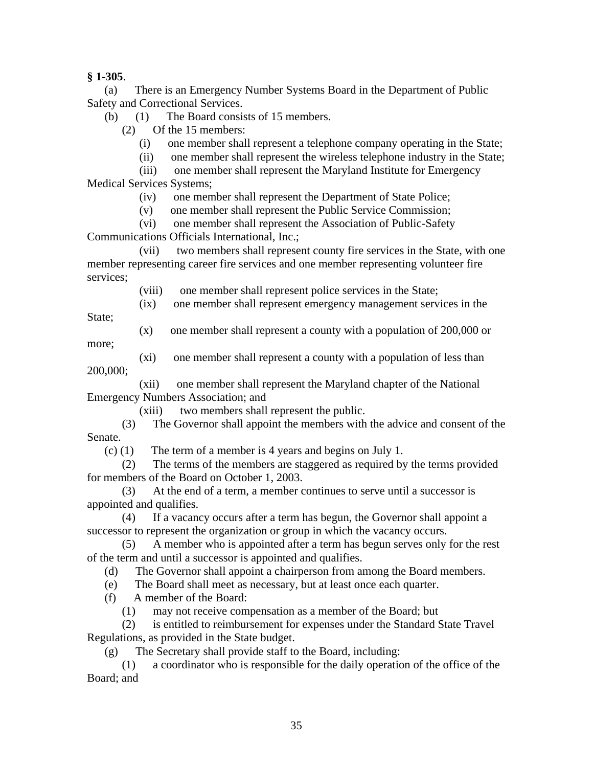**§ 1-305**.

 (a) There is an Emergency Number Systems Board in the Department of Public Safety and Correctional Services.

(b) (1) The Board consists of 15 members.

(2) Of the 15 members:

(i) one member shall represent a telephone company operating in the State;

(ii) one member shall represent the wireless telephone industry in the State;

 (iii) one member shall represent the Maryland Institute for Emergency Medical Services Systems;

(iv) one member shall represent the Department of State Police;

(v) one member shall represent the Public Service Commission;

(vi) one member shall represent the Association of Public-Safety

Communications Officials International, Inc.;

 (vii) two members shall represent county fire services in the State, with one member representing career fire services and one member representing volunteer fire services;

(viii) one member shall represent police services in the State;

(ix) one member shall represent emergency management services in the

State:

(x) one member shall represent a county with a population of 200,000 or

more;

 (xi) one member shall represent a county with a population of less than 200,000;

 (xii) one member shall represent the Maryland chapter of the National Emergency Numbers Association; and

(xiii) two members shall represent the public.

 (3) The Governor shall appoint the members with the advice and consent of the Senate.

(c) (1) The term of a member is 4 years and begins on July 1.

 (2) The terms of the members are staggered as required by the terms provided for members of the Board on October 1, 2003.

 (3) At the end of a term, a member continues to serve until a successor is appointed and qualifies.

 (4) If a vacancy occurs after a term has begun, the Governor shall appoint a successor to represent the organization or group in which the vacancy occurs.

 (5) A member who is appointed after a term has begun serves only for the rest of the term and until a successor is appointed and qualifies.

(d) The Governor shall appoint a chairperson from among the Board members.

(e) The Board shall meet as necessary, but at least once each quarter.

(f) A member of the Board:

(1) may not receive compensation as a member of the Board; but

 (2) is entitled to reimbursement for expenses under the Standard State Travel Regulations, as provided in the State budget.

(g) The Secretary shall provide staff to the Board, including:

 (1) a coordinator who is responsible for the daily operation of the office of the Board; and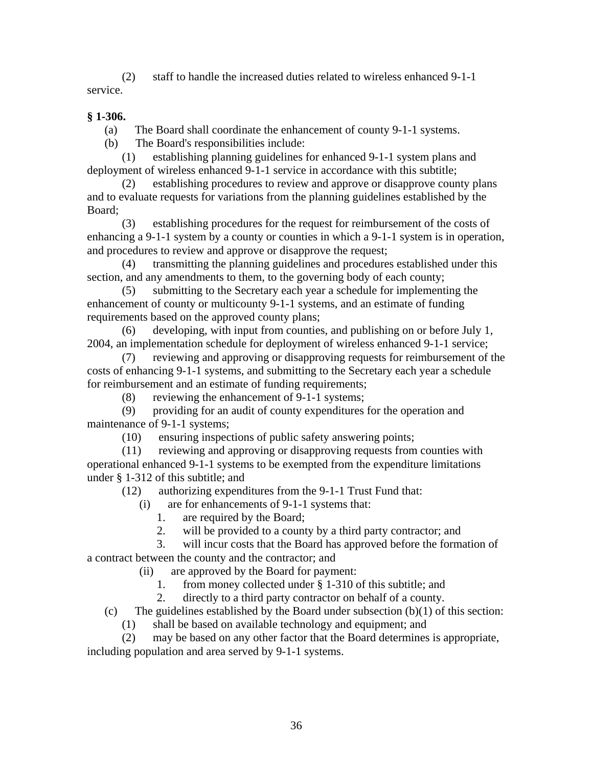(2) staff to handle the increased duties related to wireless enhanced 9-1-1 service.

# **§ 1-306.**

(a) The Board shall coordinate the enhancement of county 9-1-1 systems.

(b) The Board's responsibilities include:

 (1) establishing planning guidelines for enhanced 9-1-1 system plans and deployment of wireless enhanced 9-1-1 service in accordance with this subtitle;

 (2) establishing procedures to review and approve or disapprove county plans and to evaluate requests for variations from the planning guidelines established by the Board;

 (3) establishing procedures for the request for reimbursement of the costs of enhancing a 9-1-1 system by a county or counties in which a 9-1-1 system is in operation, and procedures to review and approve or disapprove the request;

 (4) transmitting the planning guidelines and procedures established under this section, and any amendments to them, to the governing body of each county;

 (5) submitting to the Secretary each year a schedule for implementing the enhancement of county or multicounty 9-1-1 systems, and an estimate of funding requirements based on the approved county plans;

 (6) developing, with input from counties, and publishing on or before July 1, 2004, an implementation schedule for deployment of wireless enhanced 9-1-1 service;

 (7) reviewing and approving or disapproving requests for reimbursement of the costs of enhancing 9-1-1 systems, and submitting to the Secretary each year a schedule for reimbursement and an estimate of funding requirements;

(8) reviewing the enhancement of 9-1-1 systems;

 (9) providing for an audit of county expenditures for the operation and maintenance of 9-1-1 systems;

(10) ensuring inspections of public safety answering points;

 (11) reviewing and approving or disapproving requests from counties with operational enhanced 9-1-1 systems to be exempted from the expenditure limitations under § 1-312 of this subtitle; and

(12) authorizing expenditures from the 9-1-1 Trust Fund that:

(i) are for enhancements of 9-1-1 systems that:

1. are required by the Board;

2. will be provided to a county by a third party contractor; and

3. will incur costs that the Board has approved before the formation of

a contract between the county and the contractor; and

(ii) are approved by the Board for payment:

1. from money collected under § 1-310 of this subtitle; and

2. directly to a third party contractor on behalf of a county.

(c) The guidelines established by the Board under subsection  $(b)(1)$  of this section:

(1) shall be based on available technology and equipment; and

 (2) may be based on any other factor that the Board determines is appropriate, including population and area served by 9-1-1 systems.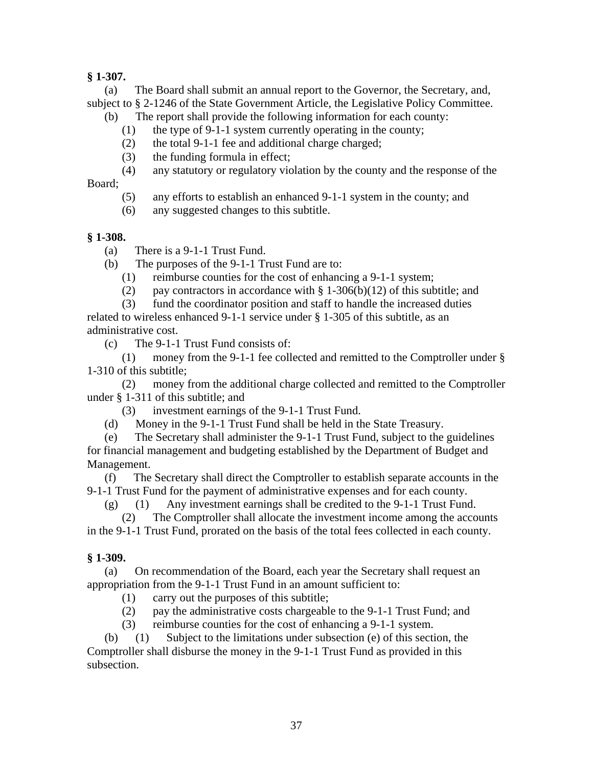# **§ 1-307.**

 (a) The Board shall submit an annual report to the Governor, the Secretary, and, subject to § 2-1246 of the State Government Article, the Legislative Policy Committee.

- (b) The report shall provide the following information for each county:
	- (1) the type of 9-1-1 system currently operating in the county;
	- (2) the total 9-1-1 fee and additional charge charged;
	- (3) the funding formula in effect;
	- (4) any statutory or regulatory violation by the county and the response of the

Board;

- (5) any efforts to establish an enhanced 9-1-1 system in the county; and
- (6) any suggested changes to this subtitle.

# **§ 1-308.**

- (a) There is a 9-1-1 Trust Fund.
- (b) The purposes of the 9-1-1 Trust Fund are to:
	- (1) reimburse counties for the cost of enhancing a 9-1-1 system;
	- (2) pay contractors in accordance with  $\S 1-306(b)(12)$  of this subtitle; and

 (3) fund the coordinator position and staff to handle the increased duties related to wireless enhanced 9-1-1 service under § 1-305 of this subtitle, as an administrative cost.

(c) The 9-1-1 Trust Fund consists of:

 (1) money from the 9-1-1 fee collected and remitted to the Comptroller under § 1-310 of this subtitle;

 (2) money from the additional charge collected and remitted to the Comptroller under § 1-311 of this subtitle; and

- (3) investment earnings of the 9-1-1 Trust Fund.
- (d) Money in the 9-1-1 Trust Fund shall be held in the State Treasury.

 (e) The Secretary shall administer the 9-1-1 Trust Fund, subject to the guidelines for financial management and budgeting established by the Department of Budget and Management.

 (f) The Secretary shall direct the Comptroller to establish separate accounts in the 9-1-1 Trust Fund for the payment of administrative expenses and for each county.

(g) (1) Any investment earnings shall be credited to the 9-1-1 Trust Fund.

 (2) The Comptroller shall allocate the investment income among the accounts in the 9-1-1 Trust Fund, prorated on the basis of the total fees collected in each county.

# **§ 1-309.**

 (a) On recommendation of the Board, each year the Secretary shall request an appropriation from the 9-1-1 Trust Fund in an amount sufficient to:

- (1) carry out the purposes of this subtitle;
- (2) pay the administrative costs chargeable to the 9-1-1 Trust Fund; and
- (3) reimburse counties for the cost of enhancing a 9-1-1 system.

 (b) (1) Subject to the limitations under subsection (e) of this section, the Comptroller shall disburse the money in the 9-1-1 Trust Fund as provided in this subsection.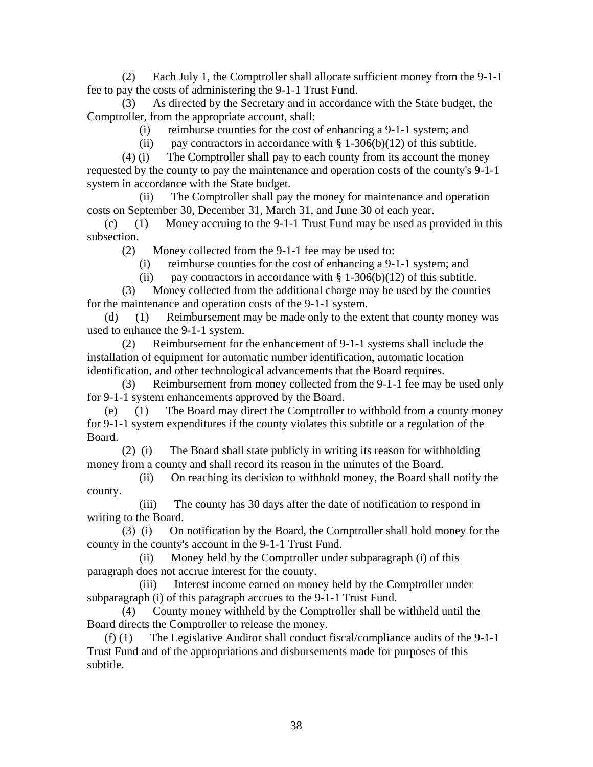(2) Each July 1, the Comptroller shall allocate sufficient money from the 9-1-1 fee to pay the costs of administering the 9-1-1 Trust Fund.

 (3) As directed by the Secretary and in accordance with the State budget, the Comptroller, from the appropriate account, shall:

(i) reimburse counties for the cost of enhancing a 9-1-1 system; and

(ii) pay contractors in accordance with  $\S 1-306(b)(12)$  of this subtitle.

 (4) (i) The Comptroller shall pay to each county from its account the money requested by the county to pay the maintenance and operation costs of the county's 9-1-1 system in accordance with the State budget.

 (ii) The Comptroller shall pay the money for maintenance and operation costs on September 30, December 31, March 31, and June 30 of each year.

 (c) (1) Money accruing to the 9-1-1 Trust Fund may be used as provided in this subsection.

(2) Money collected from the 9-1-1 fee may be used to:

(i) reimburse counties for the cost of enhancing a 9-1-1 system; and

(ii) pay contractors in accordance with  $\S 1-306(b)(12)$  of this subtitle.

 (3) Money collected from the additional charge may be used by the counties for the maintenance and operation costs of the 9-1-1 system.

 (d) (1) Reimbursement may be made only to the extent that county money was used to enhance the 9-1-1 system.

 (2) Reimbursement for the enhancement of 9-1-1 systems shall include the installation of equipment for automatic number identification, automatic location identification, and other technological advancements that the Board requires.

 (3) Reimbursement from money collected from the 9-1-1 fee may be used only for 9-1-1 system enhancements approved by the Board.

 (e) (1) The Board may direct the Comptroller to withhold from a county money for 9-1-1 system expenditures if the county violates this subtitle or a regulation of the Board.

 (2) (i) The Board shall state publicly in writing its reason for withholding money from a county and shall record its reason in the minutes of the Board.

 (ii) On reaching its decision to withhold money, the Board shall notify the county.

 (iii) The county has 30 days after the date of notification to respond in writing to the Board.

 (3) (i) On notification by the Board, the Comptroller shall hold money for the county in the county's account in the 9-1-1 Trust Fund.

 (ii) Money held by the Comptroller under subparagraph (i) of this paragraph does not accrue interest for the county.

 (iii) Interest income earned on money held by the Comptroller under subparagraph (i) of this paragraph accrues to the 9-1-1 Trust Fund.

 (4) County money withheld by the Comptroller shall be withheld until the Board directs the Comptroller to release the money.

 (f) (1) The Legislative Auditor shall conduct fiscal/compliance audits of the 9-1-1 Trust Fund and of the appropriations and disbursements made for purposes of this subtitle.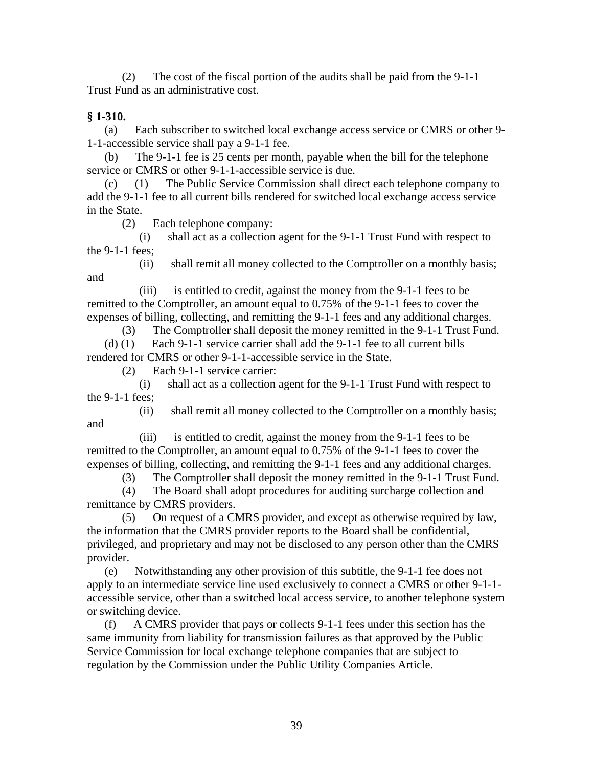(2) The cost of the fiscal portion of the audits shall be paid from the 9-1-1 Trust Fund as an administrative cost.

# **§ 1-310.**

 (a) Each subscriber to switched local exchange access service or CMRS or other 9- 1-1-accessible service shall pay a 9-1-1 fee.

 (b) The 9-1-1 fee is 25 cents per month, payable when the bill for the telephone service or CMRS or other 9-1-1-accessible service is due.

 (c) (1) The Public Service Commission shall direct each telephone company to add the 9-1-1 fee to all current bills rendered for switched local exchange access service in the State.

(2) Each telephone company:

 (i) shall act as a collection agent for the 9-1-1 Trust Fund with respect to the 9-1-1 fees;

 (ii) shall remit all money collected to the Comptroller on a monthly basis; and

 (iii) is entitled to credit, against the money from the 9-1-1 fees to be remitted to the Comptroller, an amount equal to 0.75% of the 9-1-1 fees to cover the expenses of billing, collecting, and remitting the 9-1-1 fees and any additional charges.

 (3) The Comptroller shall deposit the money remitted in the 9-1-1 Trust Fund. (d) (1) Each 9-1-1 service carrier shall add the 9-1-1 fee to all current bills rendered for CMRS or other 9-1-1-accessible service in the State.

(2) Each 9-1-1 service carrier:

 (i) shall act as a collection agent for the 9-1-1 Trust Fund with respect to the 9-1-1 fees;

 (ii) shall remit all money collected to the Comptroller on a monthly basis; and

 (iii) is entitled to credit, against the money from the 9-1-1 fees to be remitted to the Comptroller, an amount equal to 0.75% of the 9-1-1 fees to cover the expenses of billing, collecting, and remitting the 9-1-1 fees and any additional charges.

(3) The Comptroller shall deposit the money remitted in the 9-1-1 Trust Fund.

 (4) The Board shall adopt procedures for auditing surcharge collection and remittance by CMRS providers.

 (5) On request of a CMRS provider, and except as otherwise required by law, the information that the CMRS provider reports to the Board shall be confidential, privileged, and proprietary and may not be disclosed to any person other than the CMRS provider.

 (e) Notwithstanding any other provision of this subtitle, the 9-1-1 fee does not apply to an intermediate service line used exclusively to connect a CMRS or other 9-1-1 accessible service, other than a switched local access service, to another telephone system or switching device.

 (f) A CMRS provider that pays or collects 9-1-1 fees under this section has the same immunity from liability for transmission failures as that approved by the Public Service Commission for local exchange telephone companies that are subject to regulation by the Commission under the Public Utility Companies Article.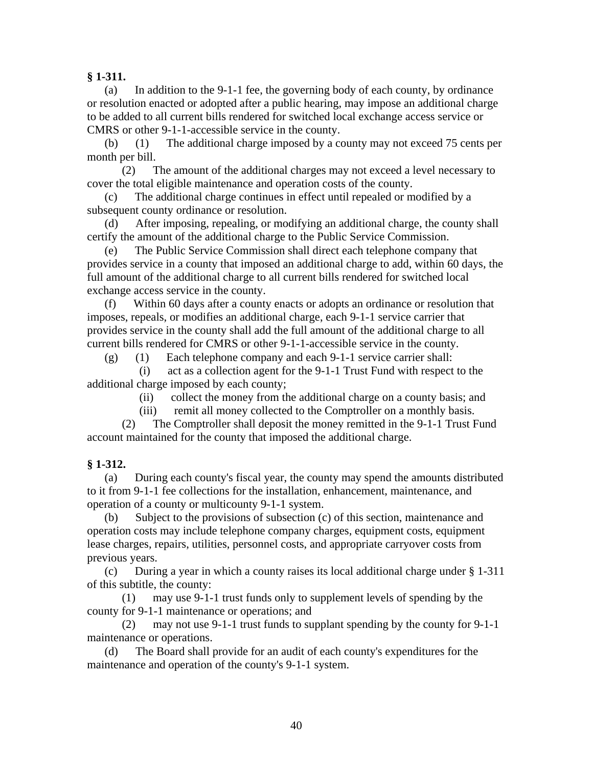# **§ 1-311.**

 (a) In addition to the 9-1-1 fee, the governing body of each county, by ordinance or resolution enacted or adopted after a public hearing, may impose an additional charge to be added to all current bills rendered for switched local exchange access service or CMRS or other 9-1-1-accessible service in the county.

 (b) (1) The additional charge imposed by a county may not exceed 75 cents per month per bill.

 (2) The amount of the additional charges may not exceed a level necessary to cover the total eligible maintenance and operation costs of the county.

 (c) The additional charge continues in effect until repealed or modified by a subsequent county ordinance or resolution.

 (d) After imposing, repealing, or modifying an additional charge, the county shall certify the amount of the additional charge to the Public Service Commission.

 (e) The Public Service Commission shall direct each telephone company that provides service in a county that imposed an additional charge to add, within 60 days, the full amount of the additional charge to all current bills rendered for switched local exchange access service in the county.

 (f) Within 60 days after a county enacts or adopts an ordinance or resolution that imposes, repeals, or modifies an additional charge, each 9-1-1 service carrier that provides service in the county shall add the full amount of the additional charge to all current bills rendered for CMRS or other 9-1-1-accessible service in the county.

(g) (1) Each telephone company and each 9-1-1 service carrier shall:

 (i) act as a collection agent for the 9-1-1 Trust Fund with respect to the additional charge imposed by each county;

(ii) collect the money from the additional charge on a county basis; and

(iii) remit all money collected to the Comptroller on a monthly basis.

 (2) The Comptroller shall deposit the money remitted in the 9-1-1 Trust Fund account maintained for the county that imposed the additional charge.

# **§ 1-312.**

 (a) During each county's fiscal year, the county may spend the amounts distributed to it from 9-1-1 fee collections for the installation, enhancement, maintenance, and operation of a county or multicounty 9-1-1 system.

 (b) Subject to the provisions of subsection (c) of this section, maintenance and operation costs may include telephone company charges, equipment costs, equipment lease charges, repairs, utilities, personnel costs, and appropriate carryover costs from previous years.

 (c) During a year in which a county raises its local additional charge under § 1-311 of this subtitle, the county:

 (1) may use 9-1-1 trust funds only to supplement levels of spending by the county for 9-1-1 maintenance or operations; and

 (2) may not use 9-1-1 trust funds to supplant spending by the county for 9-1-1 maintenance or operations.

 (d) The Board shall provide for an audit of each county's expenditures for the maintenance and operation of the county's 9-1-1 system.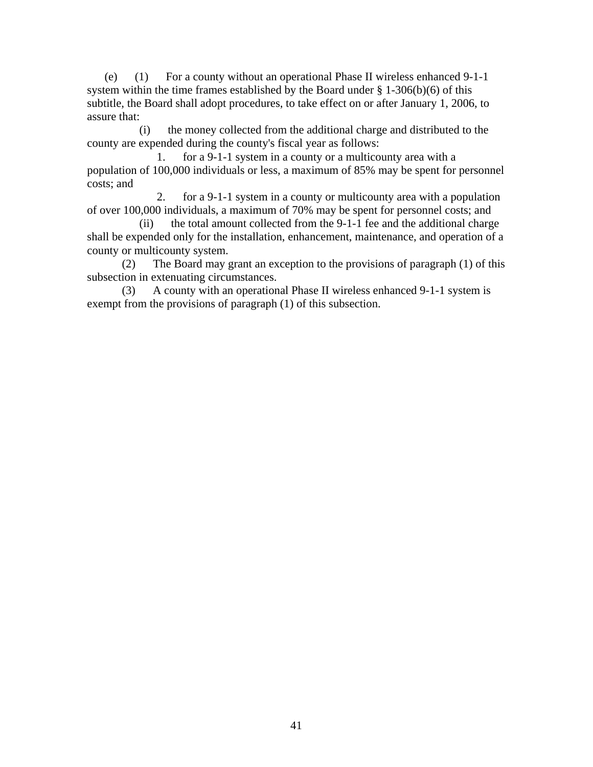(e) (1) For a county without an operational Phase II wireless enhanced 9-1-1 system within the time frames established by the Board under  $\S 1-306(b)(6)$  of this subtitle, the Board shall adopt procedures, to take effect on or after January 1, 2006, to assure that:

 (i) the money collected from the additional charge and distributed to the county are expended during the county's fiscal year as follows:

 1. for a 9-1-1 system in a county or a multicounty area with a population of 100,000 individuals or less, a maximum of 85% may be spent for personnel costs; and

 2. for a 9-1-1 system in a county or multicounty area with a population of over 100,000 individuals, a maximum of 70% may be spent for personnel costs; and

 (ii) the total amount collected from the 9-1-1 fee and the additional charge shall be expended only for the installation, enhancement, maintenance, and operation of a county or multicounty system.

 (2) The Board may grant an exception to the provisions of paragraph (1) of this subsection in extenuating circumstances.

 (3) A county with an operational Phase II wireless enhanced 9-1-1 system is exempt from the provisions of paragraph (1) of this subsection.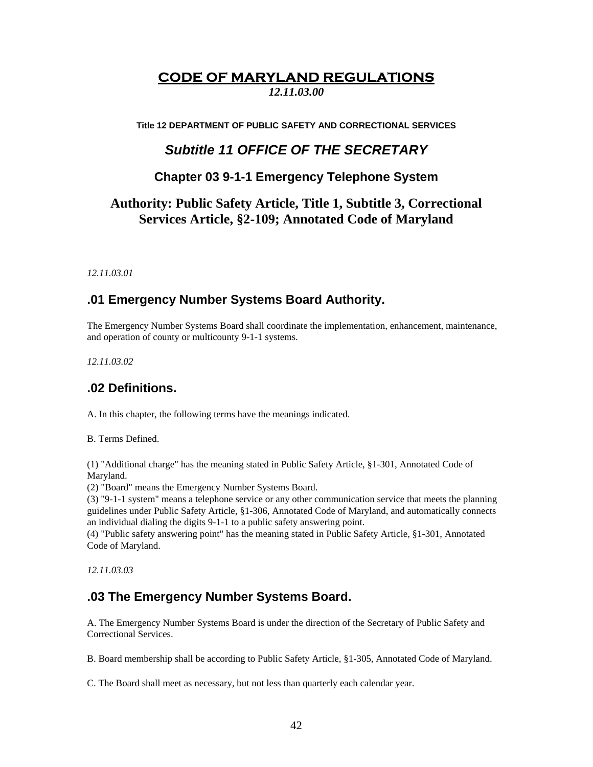# **CODE OF MARYLAND REGULATIONS**

*12.11.03.00* 

**Title 12 DEPARTMENT OF PUBLIC SAFETY AND CORRECTIONAL SERVICES** 

# *Subtitle 11 OFFICE OF THE SECRETARY*

# **Chapter 03 9-1-1 Emergency Telephone System**

# **Authority: Public Safety Article, Title 1, Subtitle 3, Correctional Services Article, §2-109; Annotated Code of Maryland**

*12.11.03.01* 

# **.01 Emergency Number Systems Board Authority.**

The Emergency Number Systems Board shall coordinate the implementation, enhancement, maintenance, and operation of county or multicounty 9-1-1 systems.

*12.11.03.02* 

# **.02 Definitions.**

A. In this chapter, the following terms have the meanings indicated.

B. Terms Defined.

(1) "Additional charge" has the meaning stated in Public Safety Article, §1-301, Annotated Code of Maryland.

(2) "Board" means the Emergency Number Systems Board.

(3) "9-1-1 system" means a telephone service or any other communication service that meets the planning guidelines under Public Safety Article, §1-306, Annotated Code of Maryland, and automatically connects an individual dialing the digits 9-1-1 to a public safety answering point.

(4) "Public safety answering point" has the meaning stated in Public Safety Article, §1-301, Annotated Code of Maryland.

*12.11.03.03* 

# **.03 The Emergency Number Systems Board.**

A. The Emergency Number Systems Board is under the direction of the Secretary of Public Safety and Correctional Services.

B. Board membership shall be according to Public Safety Article, §1-305, Annotated Code of Maryland.

C. The Board shall meet as necessary, but not less than quarterly each calendar year.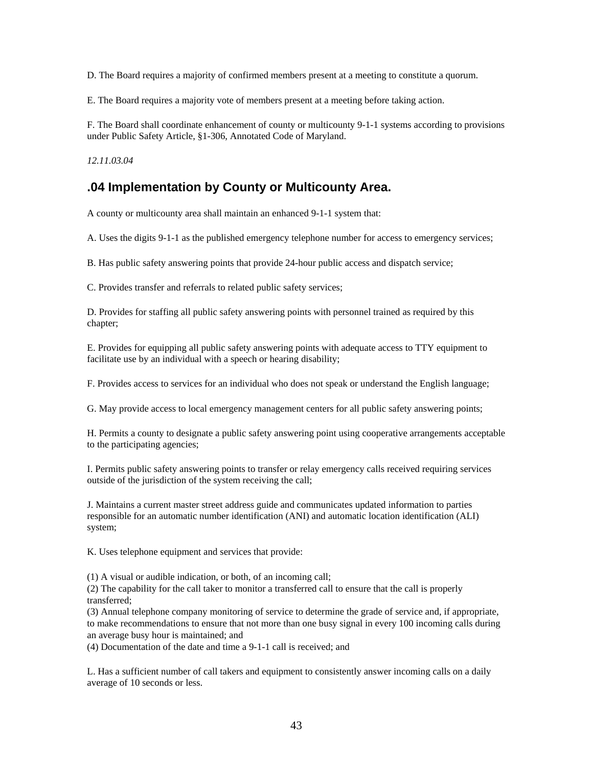D. The Board requires a majority of confirmed members present at a meeting to constitute a quorum.

E. The Board requires a majority vote of members present at a meeting before taking action.

F. The Board shall coordinate enhancement of county or multicounty 9-1-1 systems according to provisions under Public Safety Article, §1-306, Annotated Code of Maryland.

*12.11.03.04* 

# **.04 Implementation by County or Multicounty Area.**

A county or multicounty area shall maintain an enhanced 9-1-1 system that:

A. Uses the digits 9-1-1 as the published emergency telephone number for access to emergency services;

B. Has public safety answering points that provide 24-hour public access and dispatch service;

C. Provides transfer and referrals to related public safety services;

D. Provides for staffing all public safety answering points with personnel trained as required by this chapter;

E. Provides for equipping all public safety answering points with adequate access to TTY equipment to facilitate use by an individual with a speech or hearing disability;

F. Provides access to services for an individual who does not speak or understand the English language;

G. May provide access to local emergency management centers for all public safety answering points;

H. Permits a county to designate a public safety answering point using cooperative arrangements acceptable to the participating agencies;

I. Permits public safety answering points to transfer or relay emergency calls received requiring services outside of the jurisdiction of the system receiving the call;

J. Maintains a current master street address guide and communicates updated information to parties responsible for an automatic number identification (ANI) and automatic location identification (ALI) system;

K. Uses telephone equipment and services that provide:

(1) A visual or audible indication, or both, of an incoming call;

(2) The capability for the call taker to monitor a transferred call to ensure that the call is properly transferred;

(3) Annual telephone company monitoring of service to determine the grade of service and, if appropriate, to make recommendations to ensure that not more than one busy signal in every 100 incoming calls during an average busy hour is maintained; and

(4) Documentation of the date and time a 9-1-1 call is received; and

L. Has a sufficient number of call takers and equipment to consistently answer incoming calls on a daily average of 10 seconds or less.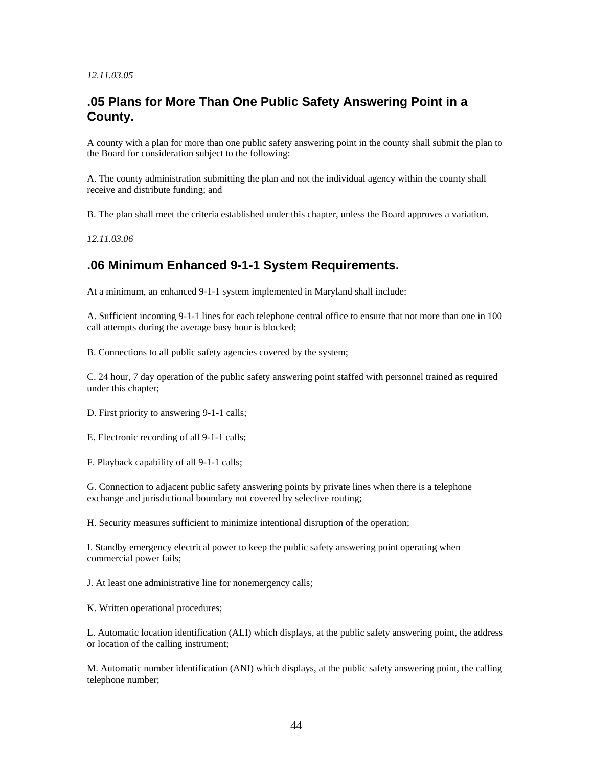#### *12.11.03.05*

# **.05 Plans for More Than One Public Safety Answering Point in a County.**

A county with a plan for more than one public safety answering point in the county shall submit the plan to the Board for consideration subject to the following:

A. The county administration submitting the plan and not the individual agency within the county shall receive and distribute funding; and

B. The plan shall meet the criteria established under this chapter, unless the Board approves a variation.

*12.11.03.06* 

# **.06 Minimum Enhanced 9-1-1 System Requirements.**

At a minimum, an enhanced 9-1-1 system implemented in Maryland shall include:

A. Sufficient incoming 9-1-1 lines for each telephone central office to ensure that not more than one in 100 call attempts during the average busy hour is blocked;

B. Connections to all public safety agencies covered by the system;

C. 24 hour, 7 day operation of the public safety answering point staffed with personnel trained as required under this chapter;

D. First priority to answering 9-1-1 calls;

E. Electronic recording of all 9-1-1 calls;

F. Playback capability of all 9-1-1 calls;

G. Connection to adjacent public safety answering points by private lines when there is a telephone exchange and jurisdictional boundary not covered by selective routing;

H. Security measures sufficient to minimize intentional disruption of the operation;

I. Standby emergency electrical power to keep the public safety answering point operating when commercial power fails;

J. At least one administrative line for nonemergency calls;

K. Written operational procedures;

L. Automatic location identification (ALI) which displays, at the public safety answering point, the address or location of the calling instrument;

M. Automatic number identification (ANI) which displays, at the public safety answering point, the calling telephone number;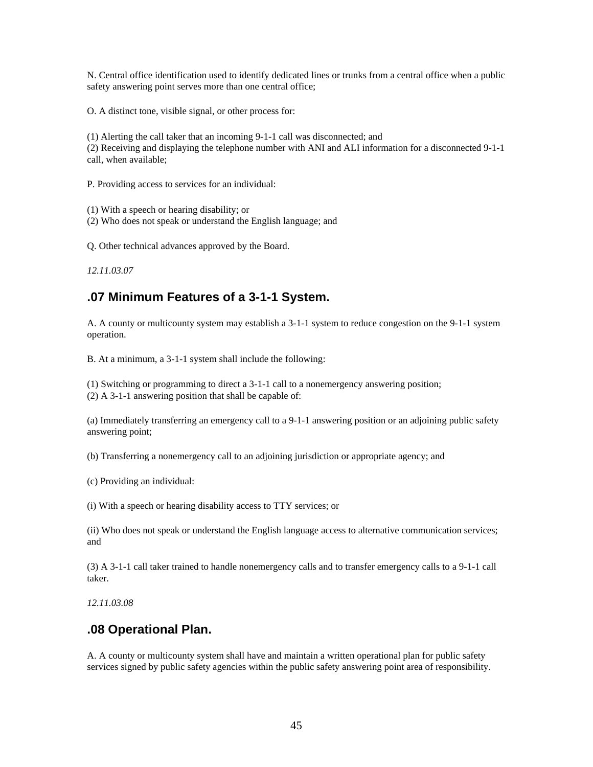N. Central office identification used to identify dedicated lines or trunks from a central office when a public safety answering point serves more than one central office;

O. A distinct tone, visible signal, or other process for:

(1) Alerting the call taker that an incoming 9-1-1 call was disconnected; and (2) Receiving and displaying the telephone number with ANI and ALI information for a disconnected 9-1-1 call, when available;

P. Providing access to services for an individual:

(1) With a speech or hearing disability; or

(2) Who does not speak or understand the English language; and

Q. Other technical advances approved by the Board.

*12.11.03.07* 

# **.07 Minimum Features of a 3-1-1 System.**

A. A county or multicounty system may establish a 3-1-1 system to reduce congestion on the 9-1-1 system operation.

B. At a minimum, a 3-1-1 system shall include the following:

(1) Switching or programming to direct a 3-1-1 call to a nonemergency answering position; (2) A 3-1-1 answering position that shall be capable of:

(a) Immediately transferring an emergency call to a 9-1-1 answering position or an adjoining public safety answering point;

(b) Transferring a nonemergency call to an adjoining jurisdiction or appropriate agency; and

(c) Providing an individual:

(i) With a speech or hearing disability access to TTY services; or

(ii) Who does not speak or understand the English language access to alternative communication services; and

(3) A 3-1-1 call taker trained to handle nonemergency calls and to transfer emergency calls to a 9-1-1 call taker.

*12.11.03.08* 

# **.08 Operational Plan.**

A. A county or multicounty system shall have and maintain a written operational plan for public safety services signed by public safety agencies within the public safety answering point area of responsibility.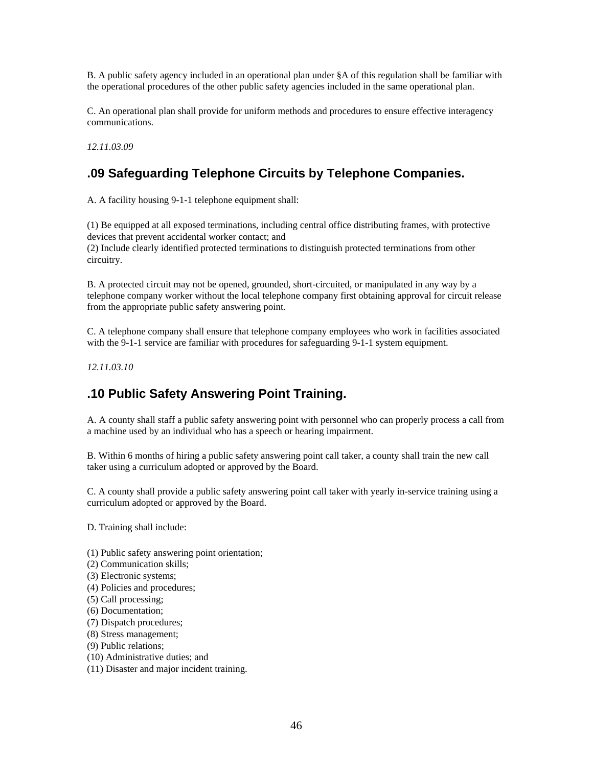B. A public safety agency included in an operational plan under §A of this regulation shall be familiar with the operational procedures of the other public safety agencies included in the same operational plan.

C. An operational plan shall provide for uniform methods and procedures to ensure effective interagency communications.

*12.11.03.09* 

# **.09 Safeguarding Telephone Circuits by Telephone Companies.**

A. A facility housing 9-1-1 telephone equipment shall:

(1) Be equipped at all exposed terminations, including central office distributing frames, with protective devices that prevent accidental worker contact; and (2) Include clearly identified protected terminations to distinguish protected terminations from other circuitry.

B. A protected circuit may not be opened, grounded, short-circuited, or manipulated in any way by a telephone company worker without the local telephone company first obtaining approval for circuit release from the appropriate public safety answering point.

C. A telephone company shall ensure that telephone company employees who work in facilities associated with the 9-1-1 service are familiar with procedures for safeguarding 9-1-1 system equipment.

*12.11.03.10* 

# **.10 Public Safety Answering Point Training.**

A. A county shall staff a public safety answering point with personnel who can properly process a call from a machine used by an individual who has a speech or hearing impairment.

B. Within 6 months of hiring a public safety answering point call taker, a county shall train the new call taker using a curriculum adopted or approved by the Board.

C. A county shall provide a public safety answering point call taker with yearly in-service training using a curriculum adopted or approved by the Board.

D. Training shall include:

- (1) Public safety answering point orientation;
- (2) Communication skills;
- (3) Electronic systems;
- (4) Policies and procedures;
- (5) Call processing;
- (6) Documentation;
- (7) Dispatch procedures;
- (8) Stress management;
- (9) Public relations;
- (10) Administrative duties; and
- (11) Disaster and major incident training.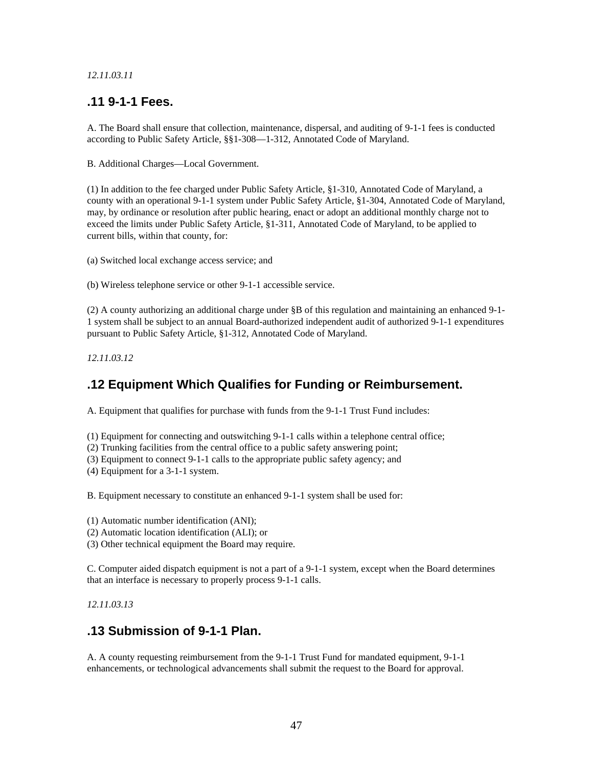### *12.11.03.11*

# **.11 9-1-1 Fees.**

A. The Board shall ensure that collection, maintenance, dispersal, and auditing of 9-1-1 fees is conducted according to Public Safety Article, §§1-308—1-312, Annotated Code of Maryland.

B. Additional Charges—Local Government.

(1) In addition to the fee charged under Public Safety Article, §1-310, Annotated Code of Maryland, a county with an operational 9-1-1 system under Public Safety Article, §1-304, Annotated Code of Maryland, may, by ordinance or resolution after public hearing, enact or adopt an additional monthly charge not to exceed the limits under Public Safety Article, §1-311, Annotated Code of Maryland, to be applied to current bills, within that county, for:

(a) Switched local exchange access service; and

(b) Wireless telephone service or other 9-1-1 accessible service.

(2) A county authorizing an additional charge under §B of this regulation and maintaining an enhanced 9-1- 1 system shall be subject to an annual Board-authorized independent audit of authorized 9-1-1 expenditures pursuant to Public Safety Article, §1-312, Annotated Code of Maryland.

*12.11.03.12* 

# **.12 Equipment Which Qualifies for Funding or Reimbursement.**

A. Equipment that qualifies for purchase with funds from the 9-1-1 Trust Fund includes:

(1) Equipment for connecting and outswitching 9-1-1 calls within a telephone central office;

(2) Trunking facilities from the central office to a public safety answering point;

(3) Equipment to connect 9-1-1 calls to the appropriate public safety agency; and

(4) Equipment for a 3-1-1 system.

B. Equipment necessary to constitute an enhanced 9-1-1 system shall be used for:

(1) Automatic number identification (ANI);

(2) Automatic location identification (ALI); or

(3) Other technical equipment the Board may require.

C. Computer aided dispatch equipment is not a part of a 9-1-1 system, except when the Board determines that an interface is necessary to properly process 9-1-1 calls.

*12.11.03.13* 

# **.13 Submission of 9-1-1 Plan.**

A. A county requesting reimbursement from the 9-1-1 Trust Fund for mandated equipment, 9-1-1 enhancements, or technological advancements shall submit the request to the Board for approval.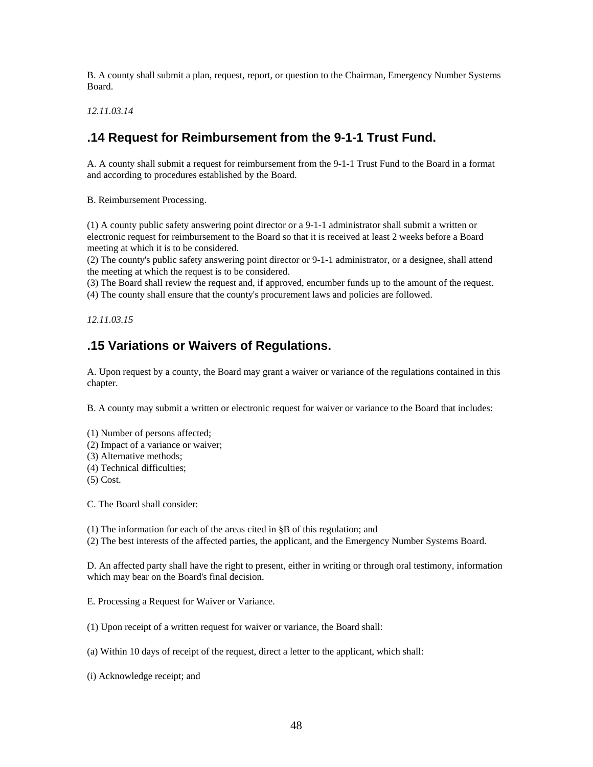B. A county shall submit a plan, request, report, or question to the Chairman, Emergency Number Systems Board.

*12.11.03.14* 

# **.14 Request for Reimbursement from the 9-1-1 Trust Fund.**

A. A county shall submit a request for reimbursement from the 9-1-1 Trust Fund to the Board in a format and according to procedures established by the Board.

B. Reimbursement Processing.

(1) A county public safety answering point director or a 9-1-1 administrator shall submit a written or electronic request for reimbursement to the Board so that it is received at least 2 weeks before a Board meeting at which it is to be considered.

(2) The county's public safety answering point director or 9-1-1 administrator, or a designee, shall attend the meeting at which the request is to be considered.

(3) The Board shall review the request and, if approved, encumber funds up to the amount of the request.

(4) The county shall ensure that the county's procurement laws and policies are followed.

*12.11.03.15* 

# **.15 Variations or Waivers of Regulations.**

A. Upon request by a county, the Board may grant a waiver or variance of the regulations contained in this chapter.

B. A county may submit a written or electronic request for waiver or variance to the Board that includes:

(1) Number of persons affected;

- (2) Impact of a variance or waiver;
- (3) Alternative methods;
- (4) Technical difficulties;
- (5) Cost.

C. The Board shall consider:

(1) The information for each of the areas cited in §B of this regulation; and

(2) The best interests of the affected parties, the applicant, and the Emergency Number Systems Board.

D. An affected party shall have the right to present, either in writing or through oral testimony, information which may bear on the Board's final decision.

E. Processing a Request for Waiver or Variance.

(1) Upon receipt of a written request for waiver or variance, the Board shall:

(a) Within 10 days of receipt of the request, direct a letter to the applicant, which shall:

(i) Acknowledge receipt; and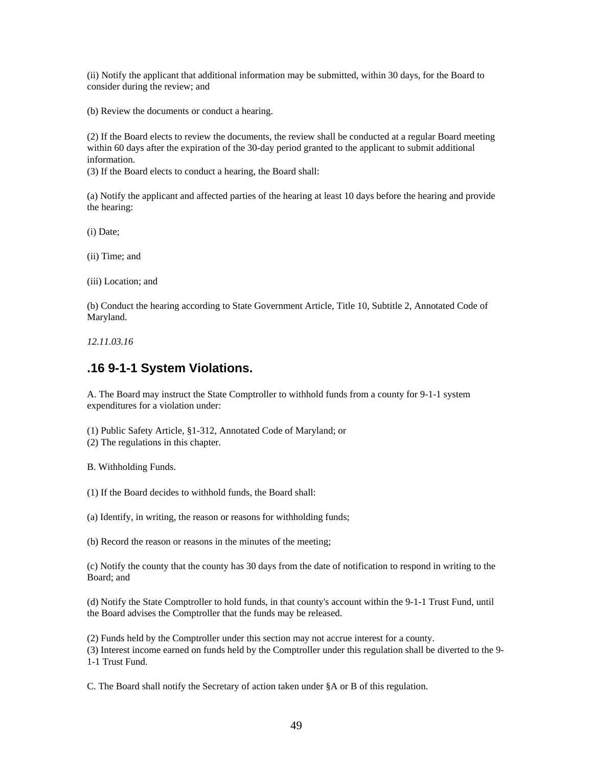(ii) Notify the applicant that additional information may be submitted, within 30 days, for the Board to consider during the review; and

(b) Review the documents or conduct a hearing.

(2) If the Board elects to review the documents, the review shall be conducted at a regular Board meeting within 60 days after the expiration of the 30-day period granted to the applicant to submit additional information.

(3) If the Board elects to conduct a hearing, the Board shall:

(a) Notify the applicant and affected parties of the hearing at least 10 days before the hearing and provide the hearing:

(i) Date;

(ii) Time; and

(iii) Location; and

(b) Conduct the hearing according to State Government Article, Title 10, Subtitle 2, Annotated Code of Maryland.

*12.11.03.16* 

# **.16 9-1-1 System Violations.**

A. The Board may instruct the State Comptroller to withhold funds from a county for 9-1-1 system expenditures for a violation under:

(1) Public Safety Article, §1-312, Annotated Code of Maryland; or

(2) The regulations in this chapter.

B. Withholding Funds.

(1) If the Board decides to withhold funds, the Board shall:

(a) Identify, in writing, the reason or reasons for withholding funds;

(b) Record the reason or reasons in the minutes of the meeting;

(c) Notify the county that the county has 30 days from the date of notification to respond in writing to the Board; and

(d) Notify the State Comptroller to hold funds, in that county's account within the 9-1-1 Trust Fund, until the Board advises the Comptroller that the funds may be released.

(2) Funds held by the Comptroller under this section may not accrue interest for a county.

(3) Interest income earned on funds held by the Comptroller under this regulation shall be diverted to the 9- 1-1 Trust Fund.

C. The Board shall notify the Secretary of action taken under §A or B of this regulation.